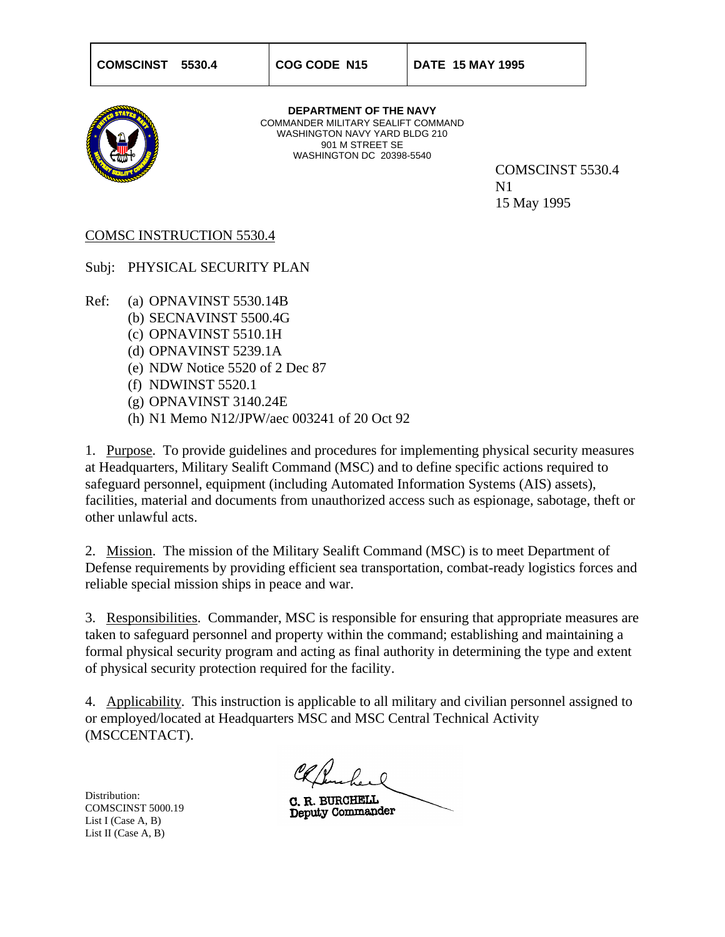

**DEPARTMENT OF THE NAVY** COMMANDER MILITARY SEALIFT COMMAND WASHINGTON NAVY YARD BLDG 210 901 M STREET SE WASHINGTON DC 20398-5540

COMSCINST 5530.4 N1 15 May 1995

### COMSC INSTRUCTION 5530.4

Subj: PHYSICAL SECURITY PLAN

Ref: (a) OPNAVINST 5530.14B

- (b) SECNAVINST 5500.4G
- (c) OPNAVINST 5510.1H
- (d) OPNAVINST 5239.1A
- (e) NDW Notice 5520 of 2 Dec 87
- (f) NDWINST 5520.1
- (g) OPNAVINST 3140.24E
- (h) N1 Memo N12/JPW/aec 003241 of 20 Oct 92

1. Purpose. To provide guidelines and procedures for implementing physical security measures at Headquarters, Military Sealift Command (MSC) and to define specific actions required to safeguard personnel, equipment (including Automated Information Systems (AIS) assets), facilities, material and documents from unauthorized access such as espionage, sabotage, theft or other unlawful acts.

2. Mission. The mission of the Military Sealift Command (MSC) is to meet Department of Defense requirements by providing efficient sea transportation, combat-ready logistics forces and reliable special mission ships in peace and war.

3. Responsibilities. Commander, MSC is responsible for ensuring that appropriate measures are taken to safeguard personnel and property within the command; establishing and maintaining a formal physical security program and acting as final authority in determining the type and extent of physical security protection required for the facility.

4. Applicability. This instruction is applicable to all military and civilian personnel assigned to or employed/located at Headquarters MSC and MSC Central Technical Activity (MSCCENTACT).

Distribution: COMSCINST 5000.19 List I (Case A, B) List II (Case A, B)

C. R. BURCHELL Deputy Commander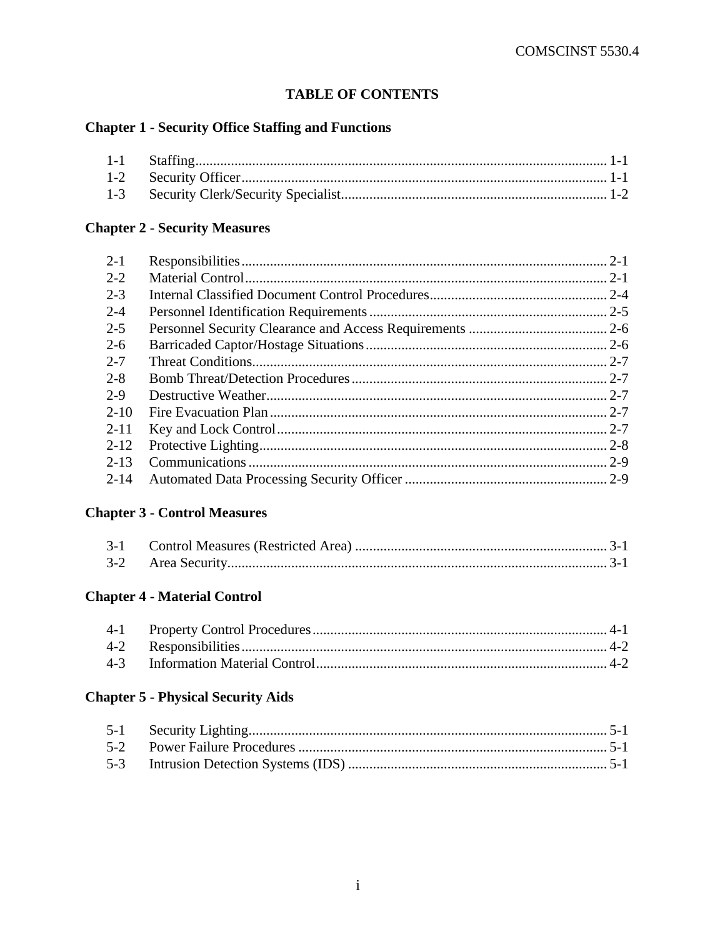## **TABLE OF CONTENTS**

## **Chapter 1 - Security Office Staffing and Functions**

## **Chapter 2 - Security Measures**

| $2 - 1$  | $2 - 1$ |
|----------|---------|
| $2 - 2$  |         |
| $2 - 3$  |         |
| $2 - 4$  |         |
| $2 - 5$  |         |
| $2-6$    |         |
| $2 - 7$  |         |
| $2 - 8$  |         |
| 2-9      |         |
| $2 - 10$ |         |
| $2 - 11$ |         |
| $2 - 12$ |         |
| $2 - 13$ |         |
| $2 - 14$ |         |
|          |         |

## **Chapter 3 - Control Measures**

## **Chapter 4 - Material Control**

## **Chapter 5 - Physical Security Aids**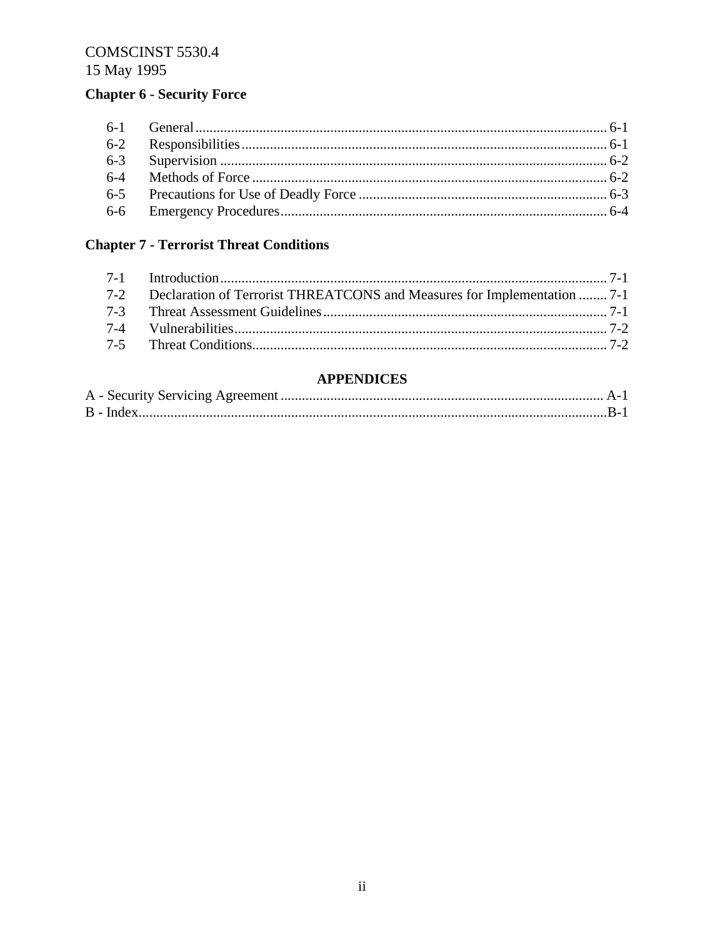# **Chapter 6 - Security Force**

# **Chapter 7 - Terrorist Threat Conditions**

| 7-2 Declaration of Terrorist THREATCONS and Measures for Implementation  7-1 |  |
|------------------------------------------------------------------------------|--|
|                                                                              |  |
|                                                                              |  |
|                                                                              |  |

## **APPENDICES**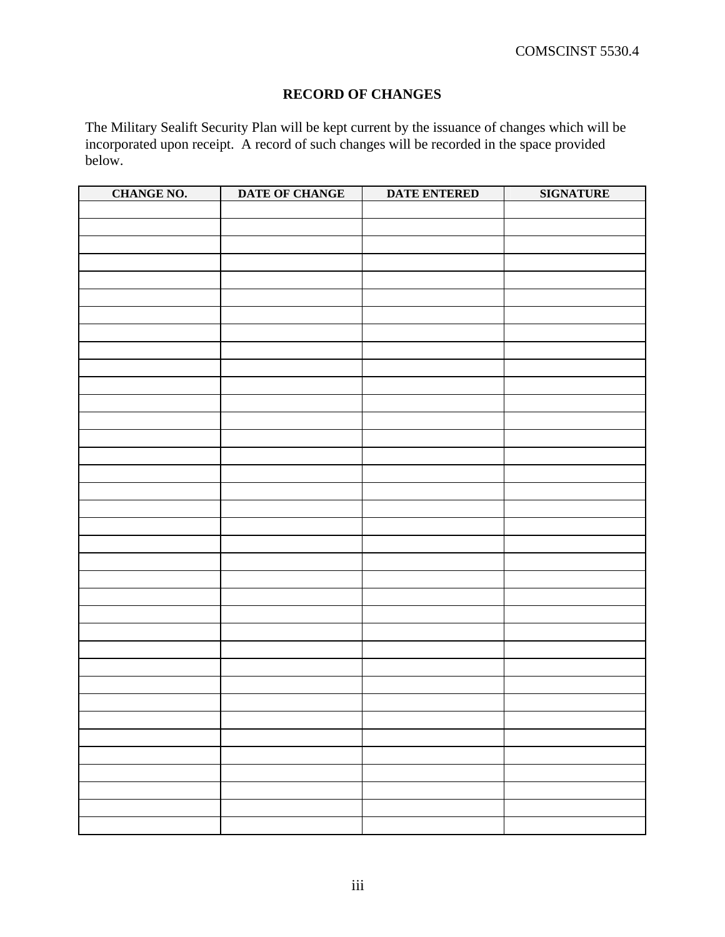## **RECORD OF CHANGES**

The Military Sealift Security Plan will be kept current by the issuance of changes which will be incorporated upon receipt. A record of such changes will be recorded in the space provided below.

| <b>CHANGE NO.</b> | DATE OF CHANGE | <b>DATE ENTERED</b> | <b>SIGNATURE</b> |
|-------------------|----------------|---------------------|------------------|
|                   |                |                     |                  |
|                   |                |                     |                  |
|                   |                |                     |                  |
|                   |                |                     |                  |
|                   |                |                     |                  |
|                   |                |                     |                  |
|                   |                |                     |                  |
|                   |                |                     |                  |
|                   |                |                     |                  |
|                   |                |                     |                  |
|                   |                |                     |                  |
|                   |                |                     |                  |
|                   |                |                     |                  |
|                   |                |                     |                  |
|                   |                |                     |                  |
|                   |                |                     |                  |
|                   |                |                     |                  |
|                   |                |                     |                  |
|                   |                |                     |                  |
|                   |                |                     |                  |
|                   |                |                     |                  |
|                   |                |                     |                  |
|                   |                |                     |                  |
|                   |                |                     |                  |
|                   |                |                     |                  |
|                   |                |                     |                  |
|                   |                |                     |                  |
|                   |                |                     |                  |
|                   |                |                     |                  |
|                   |                |                     |                  |
|                   |                |                     |                  |
|                   |                |                     |                  |
|                   |                |                     |                  |
|                   |                |                     |                  |
|                   |                |                     |                  |
|                   |                |                     |                  |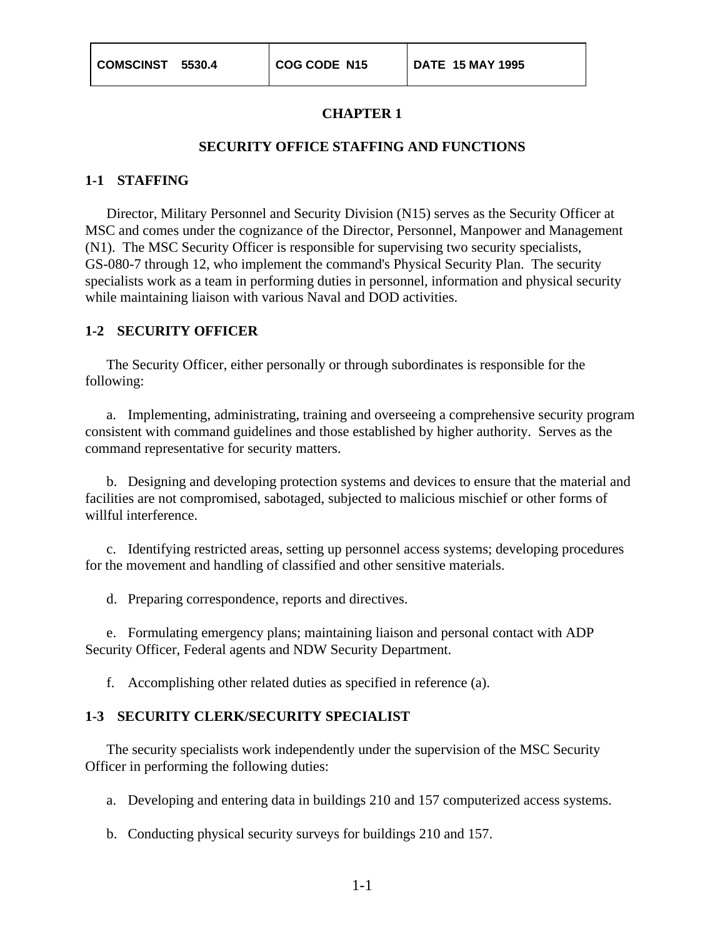### **SECURITY OFFICE STAFFING AND FUNCTIONS**

#### **1-1 STAFFING**

Director, Military Personnel and Security Division (N15) serves as the Security Officer at MSC and comes under the cognizance of the Director, Personnel, Manpower and Management (N1). The MSC Security Officer is responsible for supervising two security specialists, GS-080-7 through 12, who implement the command's Physical Security Plan. The security specialists work as a team in performing duties in personnel, information and physical security while maintaining liaison with various Naval and DOD activities.

#### **1-2 SECURITY OFFICER**

The Security Officer, either personally or through subordinates is responsible for the following:

a. Implementing, administrating, training and overseeing a comprehensive security program consistent with command guidelines and those established by higher authority. Serves as the command representative for security matters.

b. Designing and developing protection systems and devices to ensure that the material and facilities are not compromised, sabotaged, subjected to malicious mischief or other forms of willful interference.

c. Identifying restricted areas, setting up personnel access systems; developing procedures for the movement and handling of classified and other sensitive materials.

d. Preparing correspondence, reports and directives.

e. Formulating emergency plans; maintaining liaison and personal contact with ADP Security Officer, Federal agents and NDW Security Department.

f. Accomplishing other related duties as specified in reference (a).

### **1-3 SECURITY CLERK/SECURITY SPECIALIST**

The security specialists work independently under the supervision of the MSC Security Officer in performing the following duties:

- a. Developing and entering data in buildings 210 and 157 computerized access systems.
- b. Conducting physical security surveys for buildings 210 and 157.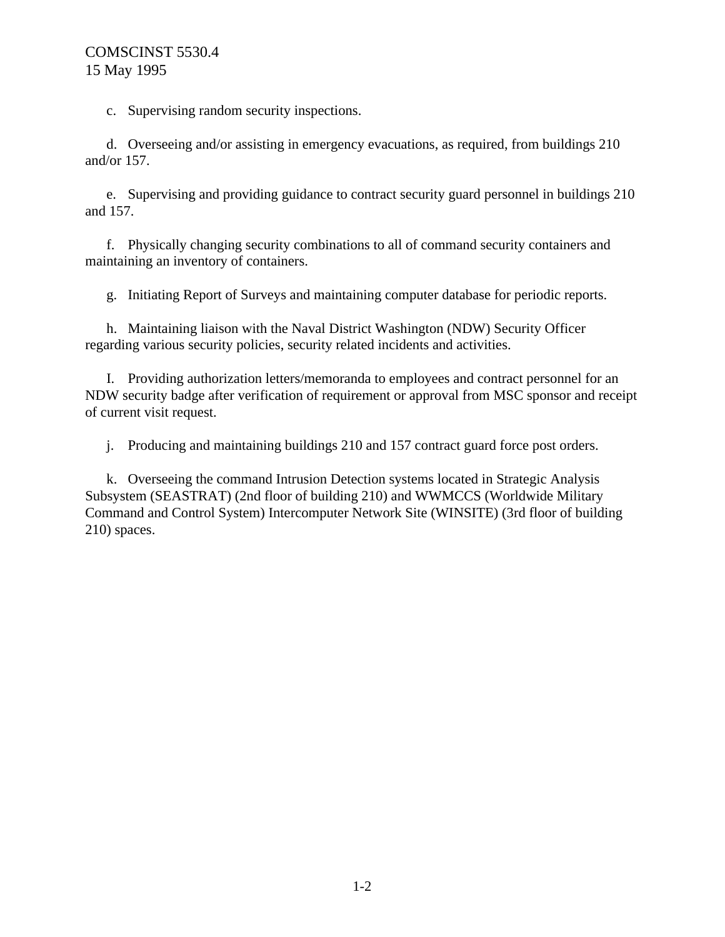c. Supervising random security inspections.

d. Overseeing and/or assisting in emergency evacuations, as required, from buildings 210 and/or 157.

e. Supervising and providing guidance to contract security guard personnel in buildings 210 and 157.

f. Physically changing security combinations to all of command security containers and maintaining an inventory of containers.

g. Initiating Report of Surveys and maintaining computer database for periodic reports.

h. Maintaining liaison with the Naval District Washington (NDW) Security Officer regarding various security policies, security related incidents and activities.

I. Providing authorization letters/memoranda to employees and contract personnel for an NDW security badge after verification of requirement or approval from MSC sponsor and receipt of current visit request.

j. Producing and maintaining buildings 210 and 157 contract guard force post orders.

k. Overseeing the command Intrusion Detection systems located in Strategic Analysis Subsystem (SEASTRAT) (2nd floor of building 210) and WWMCCS (Worldwide Military Command and Control System) Intercomputer Network Site (WINSITE) (3rd floor of building 210) spaces.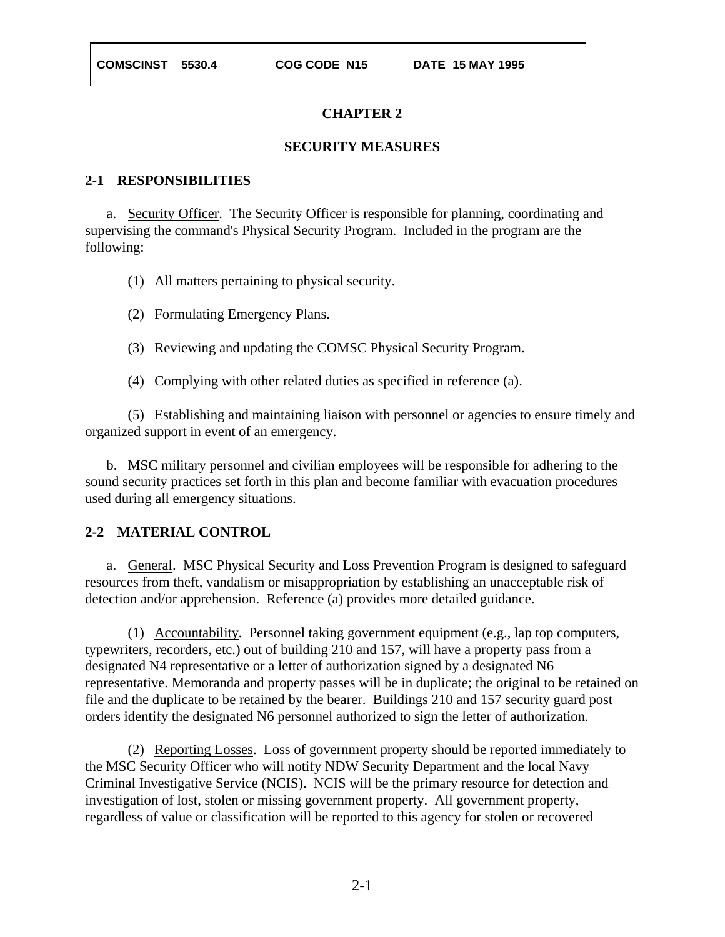#### **SECURITY MEASURES**

#### **2-1 RESPONSIBILITIES**

a. Security Officer. The Security Officer is responsible for planning, coordinating and supervising the command's Physical Security Program. Included in the program are the following:

- (1) All matters pertaining to physical security.
- (2) Formulating Emergency Plans.
- (3) Reviewing and updating the COMSC Physical Security Program.
- (4) Complying with other related duties as specified in reference (a).

(5) Establishing and maintaining liaison with personnel or agencies to ensure timely and organized support in event of an emergency.

b. MSC military personnel and civilian employees will be responsible for adhering to the sound security practices set forth in this plan and become familiar with evacuation procedures used during all emergency situations.

#### **2-2 MATERIAL CONTROL**

a. General. MSC Physical Security and Loss Prevention Program is designed to safeguard resources from theft, vandalism or misappropriation by establishing an unacceptable risk of detection and/or apprehension. Reference (a) provides more detailed guidance.

(1) Accountability. Personnel taking government equipment (e.g., lap top computers, typewriters, recorders, etc.) out of building 210 and 157, will have a property pass from a designated N4 representative or a letter of authorization signed by a designated N6 representative. Memoranda and property passes will be in duplicate; the original to be retained on file and the duplicate to be retained by the bearer. Buildings 210 and 157 security guard post orders identify the designated N6 personnel authorized to sign the letter of authorization.

(2) Reporting Losses. Loss of government property should be reported immediately to the MSC Security Officer who will notify NDW Security Department and the local Navy Criminal Investigative Service (NCIS). NCIS will be the primary resource for detection and investigation of lost, stolen or missing government property. All government property, regardless of value or classification will be reported to this agency for stolen or recovered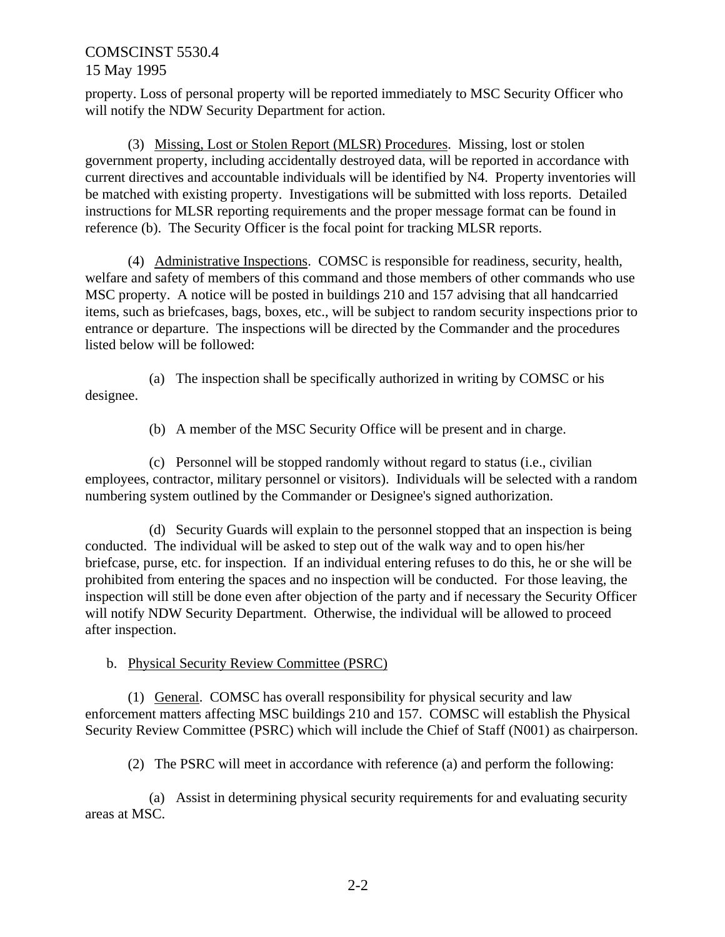property. Loss of personal property will be reported immediately to MSC Security Officer who will notify the NDW Security Department for action.

(3) Missing, Lost or Stolen Report (MLSR) Procedures. Missing, lost or stolen government property, including accidentally destroyed data, will be reported in accordance with current directives and accountable individuals will be identified by N4. Property inventories will be matched with existing property. Investigations will be submitted with loss reports. Detailed instructions for MLSR reporting requirements and the proper message format can be found in reference (b). The Security Officer is the focal point for tracking MLSR reports.

(4) Administrative Inspections. COMSC is responsible for readiness, security, health, welfare and safety of members of this command and those members of other commands who use MSC property. A notice will be posted in buildings 210 and 157 advising that all handcarried items, such as briefcases, bags, boxes, etc., will be subject to random security inspections prior to entrance or departure. The inspections will be directed by the Commander and the procedures listed below will be followed:

(a) The inspection shall be specifically authorized in writing by COMSC or his designee.

(b) A member of the MSC Security Office will be present and in charge.

(c) Personnel will be stopped randomly without regard to status (i.e., civilian employees, contractor, military personnel or visitors). Individuals will be selected with a random numbering system outlined by the Commander or Designee's signed authorization.

(d) Security Guards will explain to the personnel stopped that an inspection is being conducted. The individual will be asked to step out of the walk way and to open his/her briefcase, purse, etc. for inspection. If an individual entering refuses to do this, he or she will be prohibited from entering the spaces and no inspection will be conducted. For those leaving, the inspection will still be done even after objection of the party and if necessary the Security Officer will notify NDW Security Department. Otherwise, the individual will be allowed to proceed after inspection.

b. Physical Security Review Committee (PSRC)

(1) General. COMSC has overall responsibility for physical security and law enforcement matters affecting MSC buildings 210 and 157. COMSC will establish the Physical Security Review Committee (PSRC) which will include the Chief of Staff (N001) as chairperson.

(2) The PSRC will meet in accordance with reference (a) and perform the following:

(a) Assist in determining physical security requirements for and evaluating security areas at MSC.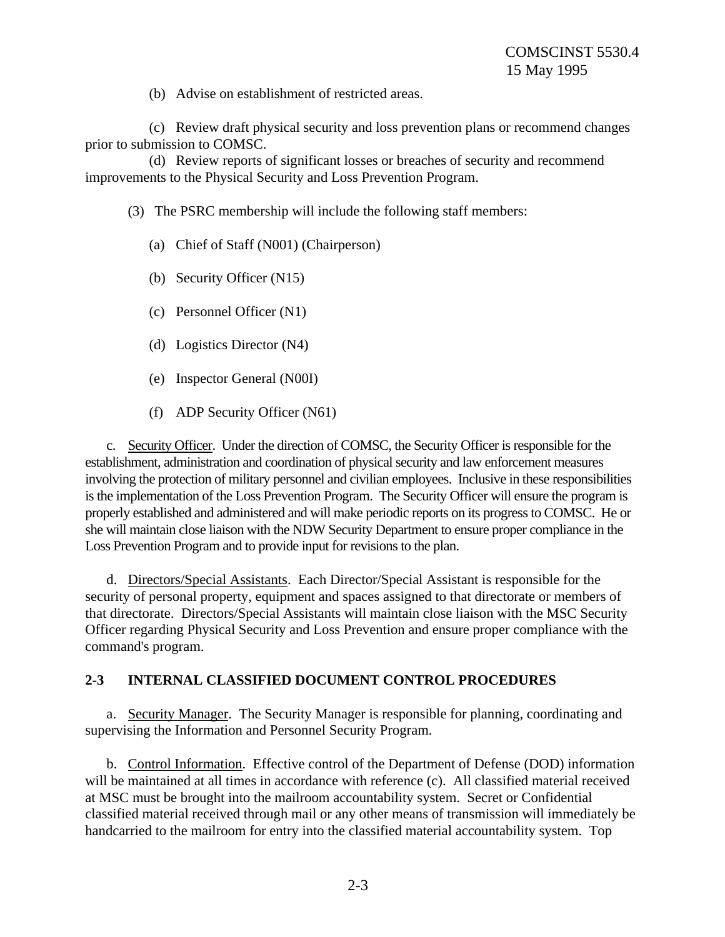(b) Advise on establishment of restricted areas.

(c) Review draft physical security and loss prevention plans or recommend changes prior to submission to COMSC.

(d) Review reports of significant losses or breaches of security and recommend improvements to the Physical Security and Loss Prevention Program.

(3) The PSRC membership will include the following staff members:

- (a) Chief of Staff (N001) (Chairperson)
- (b) Security Officer (N15)
- (c) Personnel Officer (N1)
- (d) Logistics Director (N4)
- (e) Inspector General (N00I)
- (f) ADP Security Officer (N61)

c. Security Officer. Under the direction of COMSC, the Security Officer is responsible for the establishment, administration and coordination of physical security and law enforcement measures involving the protection of military personnel and civilian employees. Inclusive in these responsibilities is the implementation of the Loss Prevention Program. The Security Officer will ensure the program is properly established and administered and will make periodic reports on its progress to COMSC. He or she will maintain close liaison with the NDW Security Department to ensure proper compliance in the Loss Prevention Program and to provide input for revisions to the plan.

d. Directors/Special Assistants. Each Director/Special Assistant is responsible for the security of personal property, equipment and spaces assigned to that directorate or members of that directorate. Directors/Special Assistants will maintain close liaison with the MSC Security Officer regarding Physical Security and Loss Prevention and ensure proper compliance with the command's program.

## **2-3 INTERNAL CLASSIFIED DOCUMENT CONTROL PROCEDURES**

a. Security Manager. The Security Manager is responsible for planning, coordinating and supervising the Information and Personnel Security Program.

b. Control Information. Effective control of the Department of Defense (DOD) information will be maintained at all times in accordance with reference (c). All classified material received at MSC must be brought into the mailroom accountability system. Secret or Confidential classified material received through mail or any other means of transmission will immediately be handcarried to the mailroom for entry into the classified material accountability system. Top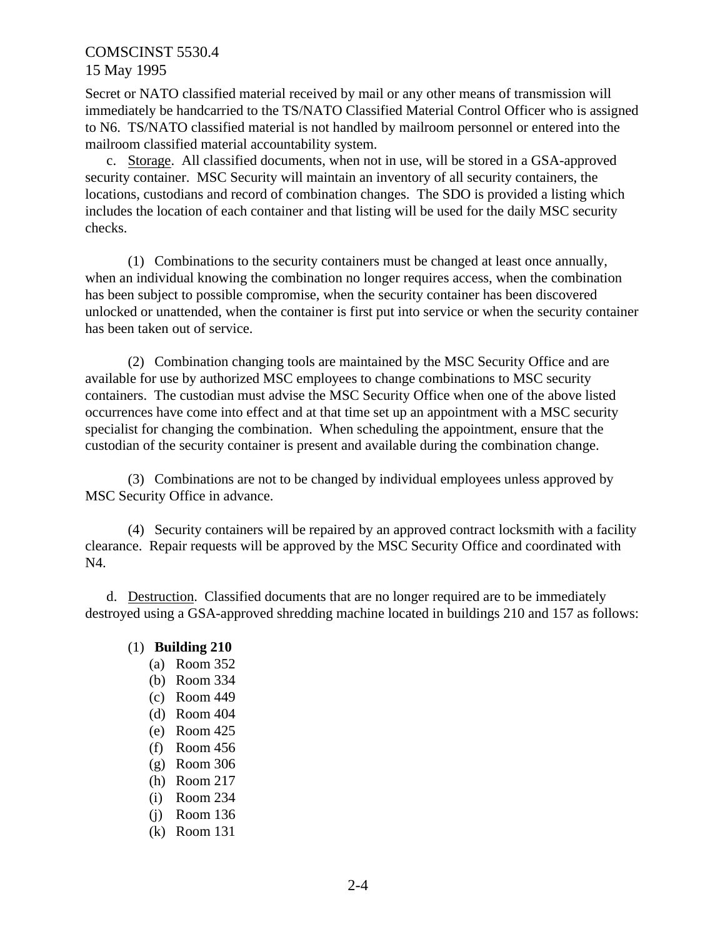Secret or NATO classified material received by mail or any other means of transmission will immediately be handcarried to the TS/NATO Classified Material Control Officer who is assigned to N6. TS/NATO classified material is not handled by mailroom personnel or entered into the mailroom classified material accountability system.

c. Storage. All classified documents, when not in use, will be stored in a GSA-approved security container. MSC Security will maintain an inventory of all security containers, the locations, custodians and record of combination changes. The SDO is provided a listing which includes the location of each container and that listing will be used for the daily MSC security checks.

(1) Combinations to the security containers must be changed at least once annually, when an individual knowing the combination no longer requires access, when the combination has been subject to possible compromise, when the security container has been discovered unlocked or unattended, when the container is first put into service or when the security container has been taken out of service.

(2) Combination changing tools are maintained by the MSC Security Office and are available for use by authorized MSC employees to change combinations to MSC security containers. The custodian must advise the MSC Security Office when one of the above listed occurrences have come into effect and at that time set up an appointment with a MSC security specialist for changing the combination. When scheduling the appointment, ensure that the custodian of the security container is present and available during the combination change.

(3) Combinations are not to be changed by individual employees unless approved by MSC Security Office in advance.

(4) Security containers will be repaired by an approved contract locksmith with a facility clearance. Repair requests will be approved by the MSC Security Office and coordinated with N4.

d. Destruction. Classified documents that are no longer required are to be immediately destroyed using a GSA-approved shredding machine located in buildings 210 and 157 as follows:

## (1) **Building 210**

- (a) Room 352
- (b) Room 334
- (c) Room 449
- (d) Room 404
- (e) Room 425
- (f) Room 456
- (g) Room 306
- (h) Room 217
- (i) Room 234
- (j) Room 136
- (k) Room 131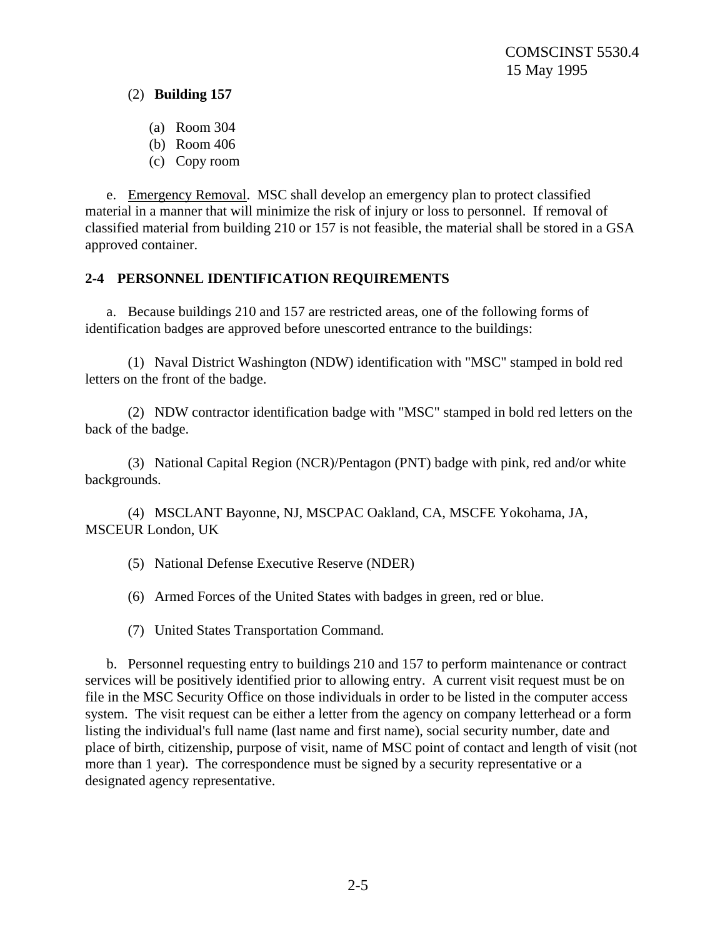(2) **Building 157**

- (a) Room 304
- (b) Room 406
- (c) Copy room

e. Emergency Removal. MSC shall develop an emergency plan to protect classified material in a manner that will minimize the risk of injury or loss to personnel. If removal of classified material from building 210 or 157 is not feasible, the material shall be stored in a GSA approved container.

## **2-4 PERSONNEL IDENTIFICATION REQUIREMENTS**

a. Because buildings 210 and 157 are restricted areas, one of the following forms of identification badges are approved before unescorted entrance to the buildings:

(1) Naval District Washington (NDW) identification with "MSC" stamped in bold red letters on the front of the badge.

(2) NDW contractor identification badge with "MSC" stamped in bold red letters on the back of the badge.

(3) National Capital Region (NCR)/Pentagon (PNT) badge with pink, red and/or white backgrounds.

(4) MSCLANT Bayonne, NJ, MSCPAC Oakland, CA, MSCFE Yokohama, JA, MSCEUR London, UK

- (5) National Defense Executive Reserve (NDER)
- (6) Armed Forces of the United States with badges in green, red or blue.
- (7) United States Transportation Command.

b. Personnel requesting entry to buildings 210 and 157 to perform maintenance or contract services will be positively identified prior to allowing entry. A current visit request must be on file in the MSC Security Office on those individuals in order to be listed in the computer access system. The visit request can be either a letter from the agency on company letterhead or a form listing the individual's full name (last name and first name), social security number, date and place of birth, citizenship, purpose of visit, name of MSC point of contact and length of visit (not more than 1 year). The correspondence must be signed by a security representative or a designated agency representative.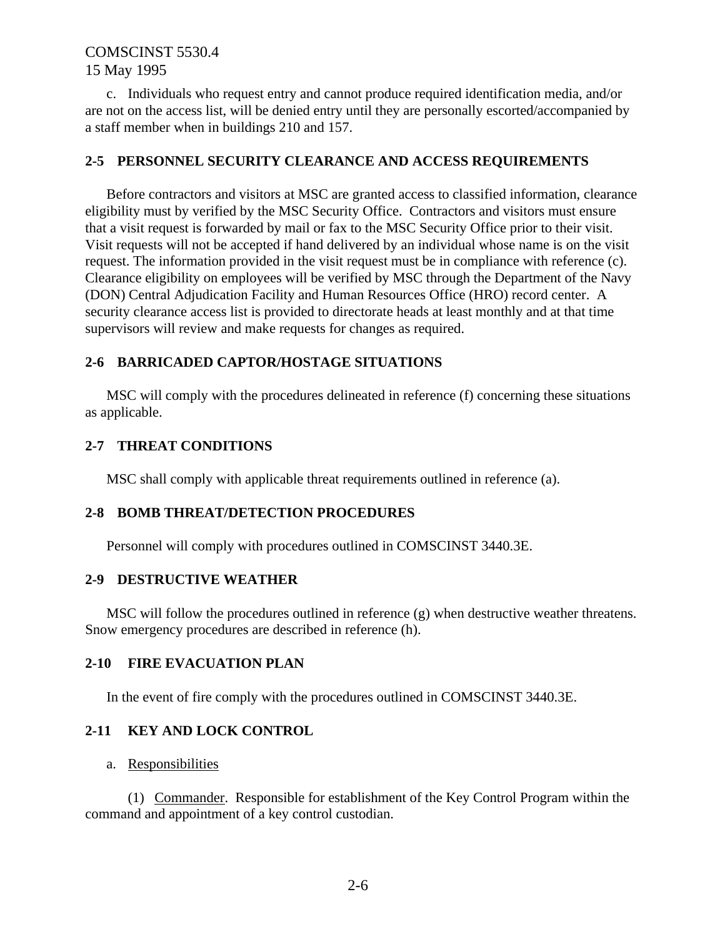c. Individuals who request entry and cannot produce required identification media, and/or are not on the access list, will be denied entry until they are personally escorted/accompanied by a staff member when in buildings 210 and 157.

### **2-5 PERSONNEL SECURITY CLEARANCE AND ACCESS REQUIREMENTS**

Before contractors and visitors at MSC are granted access to classified information, clearance eligibility must by verified by the MSC Security Office. Contractors and visitors must ensure that a visit request is forwarded by mail or fax to the MSC Security Office prior to their visit. Visit requests will not be accepted if hand delivered by an individual whose name is on the visit request. The information provided in the visit request must be in compliance with reference (c). Clearance eligibility on employees will be verified by MSC through the Department of the Navy (DON) Central Adjudication Facility and Human Resources Office (HRO) record center. A security clearance access list is provided to directorate heads at least monthly and at that time supervisors will review and make requests for changes as required.

## **2-6 BARRICADED CAPTOR/HOSTAGE SITUATIONS**

MSC will comply with the procedures delineated in reference (f) concerning these situations as applicable.

### **2-7 THREAT CONDITIONS**

MSC shall comply with applicable threat requirements outlined in reference (a).

### **2-8 BOMB THREAT/DETECTION PROCEDURES**

Personnel will comply with procedures outlined in COMSCINST 3440.3E.

### **2-9 DESTRUCTIVE WEATHER**

MSC will follow the procedures outlined in reference (g) when destructive weather threatens. Snow emergency procedures are described in reference (h).

### **2-10 FIRE EVACUATION PLAN**

In the event of fire comply with the procedures outlined in COMSCINST 3440.3E.

### **2-11 KEY AND LOCK CONTROL**

### a. Responsibilities

(1) Commander. Responsible for establishment of the Key Control Program within the command and appointment of a key control custodian.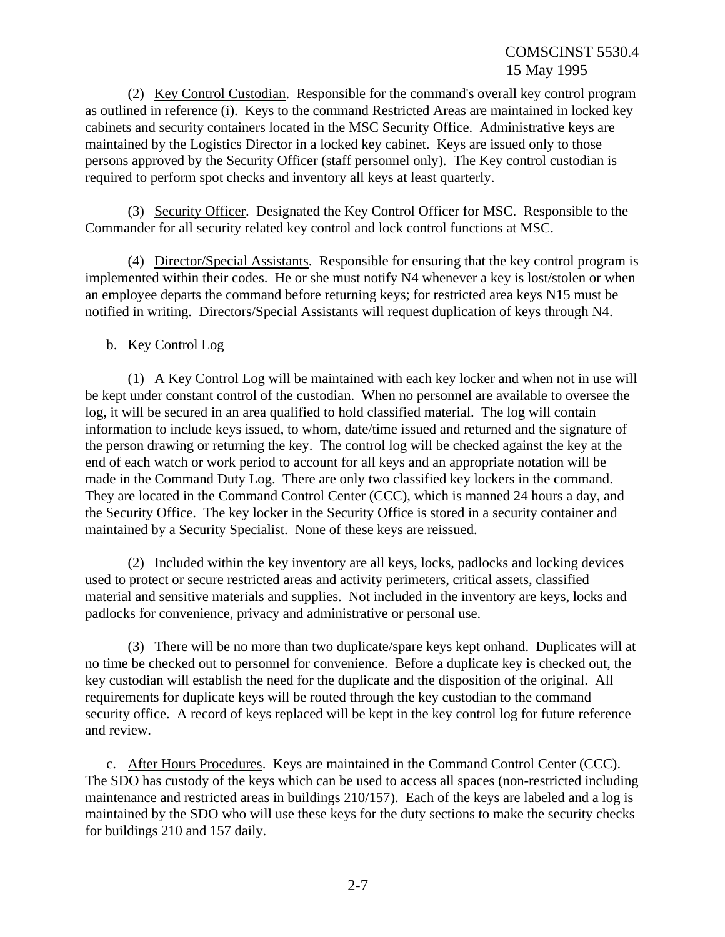(2) Key Control Custodian. Responsible for the command's overall key control program as outlined in reference (i). Keys to the command Restricted Areas are maintained in locked key cabinets and security containers located in the MSC Security Office. Administrative keys are maintained by the Logistics Director in a locked key cabinet. Keys are issued only to those persons approved by the Security Officer (staff personnel only). The Key control custodian is required to perform spot checks and inventory all keys at least quarterly.

(3) Security Officer. Designated the Key Control Officer for MSC. Responsible to the Commander for all security related key control and lock control functions at MSC.

(4) Director/Special Assistants. Responsible for ensuring that the key control program is implemented within their codes. He or she must notify N4 whenever a key is lost/stolen or when an employee departs the command before returning keys; for restricted area keys N15 must be notified in writing. Directors/Special Assistants will request duplication of keys through N4.

## b. Key Control Log

(1) A Key Control Log will be maintained with each key locker and when not in use will be kept under constant control of the custodian. When no personnel are available to oversee the log, it will be secured in an area qualified to hold classified material. The log will contain information to include keys issued, to whom, date/time issued and returned and the signature of the person drawing or returning the key. The control log will be checked against the key at the end of each watch or work period to account for all keys and an appropriate notation will be made in the Command Duty Log. There are only two classified key lockers in the command. They are located in the Command Control Center (CCC), which is manned 24 hours a day, and the Security Office. The key locker in the Security Office is stored in a security container and maintained by a Security Specialist. None of these keys are reissued.

(2) Included within the key inventory are all keys, locks, padlocks and locking devices used to protect or secure restricted areas and activity perimeters, critical assets, classified material and sensitive materials and supplies. Not included in the inventory are keys, locks and padlocks for convenience, privacy and administrative or personal use.

(3) There will be no more than two duplicate/spare keys kept onhand. Duplicates will at no time be checked out to personnel for convenience. Before a duplicate key is checked out, the key custodian will establish the need for the duplicate and the disposition of the original. All requirements for duplicate keys will be routed through the key custodian to the command security office. A record of keys replaced will be kept in the key control log for future reference and review.

c. After Hours Procedures. Keys are maintained in the Command Control Center (CCC). The SDO has custody of the keys which can be used to access all spaces (non-restricted including maintenance and restricted areas in buildings 210/157). Each of the keys are labeled and a log is maintained by the SDO who will use these keys for the duty sections to make the security checks for buildings 210 and 157 daily.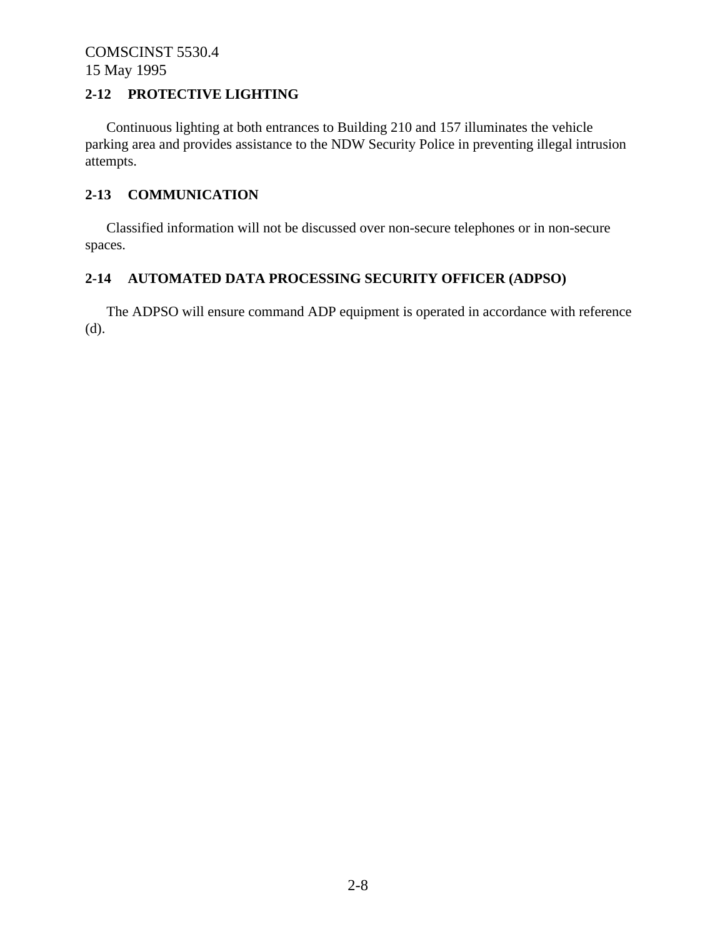## **2-12 PROTECTIVE LIGHTING**

Continuous lighting at both entrances to Building 210 and 157 illuminates the vehicle parking area and provides assistance to the NDW Security Police in preventing illegal intrusion attempts.

## **2-13 COMMUNICATION**

Classified information will not be discussed over non-secure telephones or in non-secure spaces.

## **2-14 AUTOMATED DATA PROCESSING SECURITY OFFICER (ADPSO)**

The ADPSO will ensure command ADP equipment is operated in accordance with reference (d).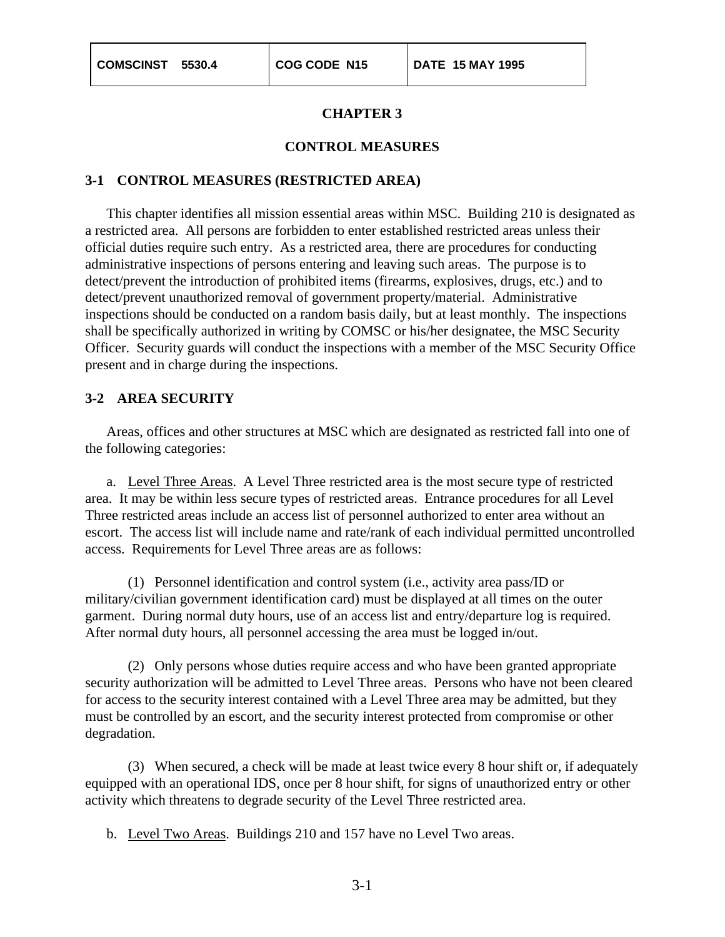#### **CONTROL MEASURES**

### **3-1 CONTROL MEASURES (RESTRICTED AREA)**

This chapter identifies all mission essential areas within MSC. Building 210 is designated as a restricted area. All persons are forbidden to enter established restricted areas unless their official duties require such entry. As a restricted area, there are procedures for conducting administrative inspections of persons entering and leaving such areas. The purpose is to detect/prevent the introduction of prohibited items (firearms, explosives, drugs, etc.) and to detect/prevent unauthorized removal of government property/material. Administrative inspections should be conducted on a random basis daily, but at least monthly. The inspections shall be specifically authorized in writing by COMSC or his/her designatee, the MSC Security Officer. Security guards will conduct the inspections with a member of the MSC Security Office present and in charge during the inspections.

### **3-2 AREA SECURITY**

Areas, offices and other structures at MSC which are designated as restricted fall into one of the following categories:

a. Level Three Areas. A Level Three restricted area is the most secure type of restricted area. It may be within less secure types of restricted areas. Entrance procedures for all Level Three restricted areas include an access list of personnel authorized to enter area without an escort. The access list will include name and rate/rank of each individual permitted uncontrolled access. Requirements for Level Three areas are as follows:

(1) Personnel identification and control system (i.e., activity area pass/ID or military/civilian government identification card) must be displayed at all times on the outer garment. During normal duty hours, use of an access list and entry/departure log is required. After normal duty hours, all personnel accessing the area must be logged in/out.

(2) Only persons whose duties require access and who have been granted appropriate security authorization will be admitted to Level Three areas. Persons who have not been cleared for access to the security interest contained with a Level Three area may be admitted, but they must be controlled by an escort, and the security interest protected from compromise or other degradation.

(3) When secured, a check will be made at least twice every 8 hour shift or, if adequately equipped with an operational IDS, once per 8 hour shift, for signs of unauthorized entry or other activity which threatens to degrade security of the Level Three restricted area.

b. Level Two Areas. Buildings 210 and 157 have no Level Two areas.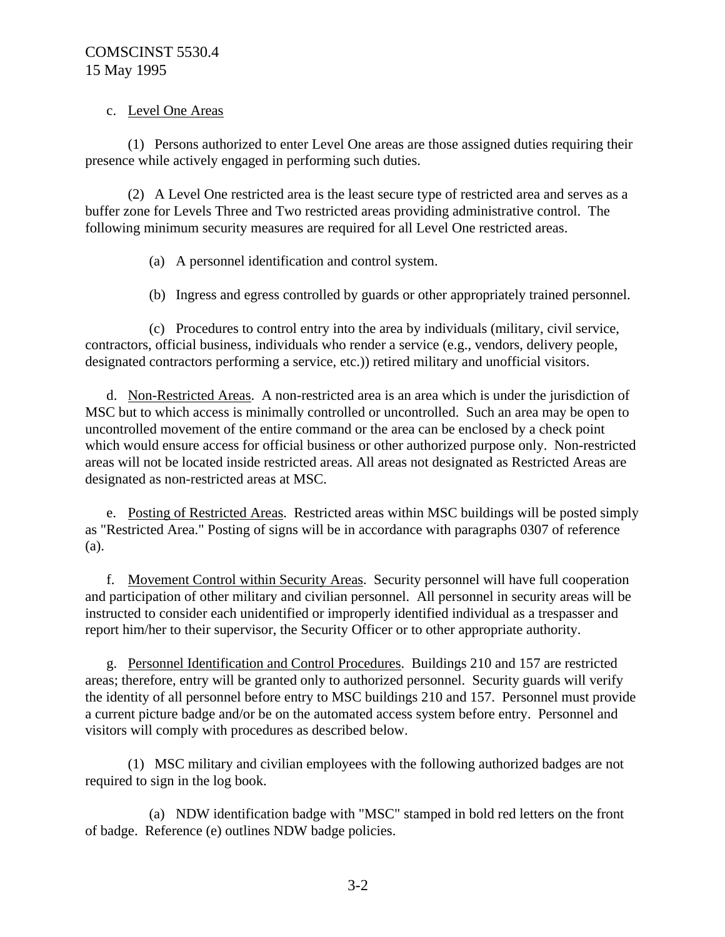### c. Level One Areas

(1) Persons authorized to enter Level One areas are those assigned duties requiring their presence while actively engaged in performing such duties.

(2) A Level One restricted area is the least secure type of restricted area and serves as a buffer zone for Levels Three and Two restricted areas providing administrative control. The following minimum security measures are required for all Level One restricted areas.

- (a) A personnel identification and control system.
- (b) Ingress and egress controlled by guards or other appropriately trained personnel.

(c) Procedures to control entry into the area by individuals (military, civil service, contractors, official business, individuals who render a service (e.g., vendors, delivery people, designated contractors performing a service, etc.)) retired military and unofficial visitors.

d. Non-Restricted Areas. A non-restricted area is an area which is under the jurisdiction of MSC but to which access is minimally controlled or uncontrolled. Such an area may be open to uncontrolled movement of the entire command or the area can be enclosed by a check point which would ensure access for official business or other authorized purpose only. Non-restricted areas will not be located inside restricted areas. All areas not designated as Restricted Areas are designated as non-restricted areas at MSC.

e. Posting of Restricted Areas. Restricted areas within MSC buildings will be posted simply as "Restricted Area." Posting of signs will be in accordance with paragraphs 0307 of reference (a).

f. Movement Control within Security Areas. Security personnel will have full cooperation and participation of other military and civilian personnel. All personnel in security areas will be instructed to consider each unidentified or improperly identified individual as a trespasser and report him/her to their supervisor, the Security Officer or to other appropriate authority.

g. Personnel Identification and Control Procedures. Buildings 210 and 157 are restricted areas; therefore, entry will be granted only to authorized personnel. Security guards will verify the identity of all personnel before entry to MSC buildings 210 and 157. Personnel must provide a current picture badge and/or be on the automated access system before entry. Personnel and visitors will comply with procedures as described below.

(1) MSC military and civilian employees with the following authorized badges are not required to sign in the log book.

(a) NDW identification badge with "MSC" stamped in bold red letters on the front of badge. Reference (e) outlines NDW badge policies.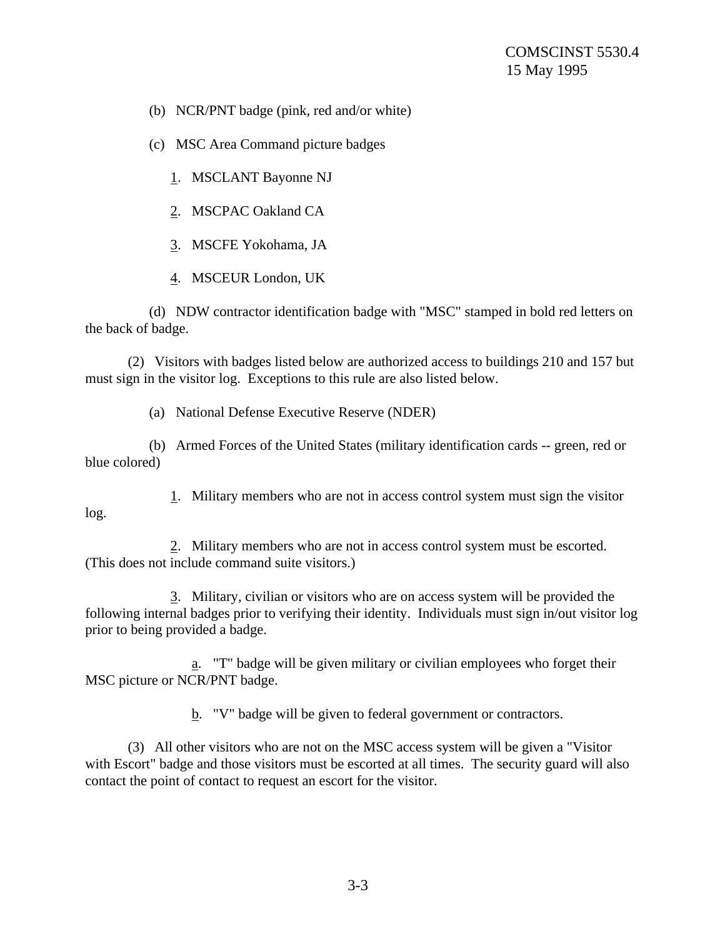(b) NCR/PNT badge (pink, red and/or white)

(c) MSC Area Command picture badges

1. MSCLANT Bayonne NJ

2. MSCPAC Oakland CA

3. MSCFE Yokohama, JA

4. MSCEUR London, UK

(d) NDW contractor identification badge with "MSC" stamped in bold red letters on the back of badge.

(2) Visitors with badges listed below are authorized access to buildings 210 and 157 but must sign in the visitor log. Exceptions to this rule are also listed below.

(a) National Defense Executive Reserve (NDER)

(b) Armed Forces of the United States (military identification cards -- green, red or blue colored)

log.

1. Military members who are not in access control system must sign the visitor

2. Military members who are not in access control system must be escorted. (This does not include command suite visitors.)

3. Military, civilian or visitors who are on access system will be provided the following internal badges prior to verifying their identity. Individuals must sign in/out visitor log prior to being provided a badge.

a. "T" badge will be given military or civilian employees who forget their MSC picture or NCR/PNT badge.

b. "V" badge will be given to federal government or contractors.

(3) All other visitors who are not on the MSC access system will be given a "Visitor with Escort" badge and those visitors must be escorted at all times. The security guard will also contact the point of contact to request an escort for the visitor.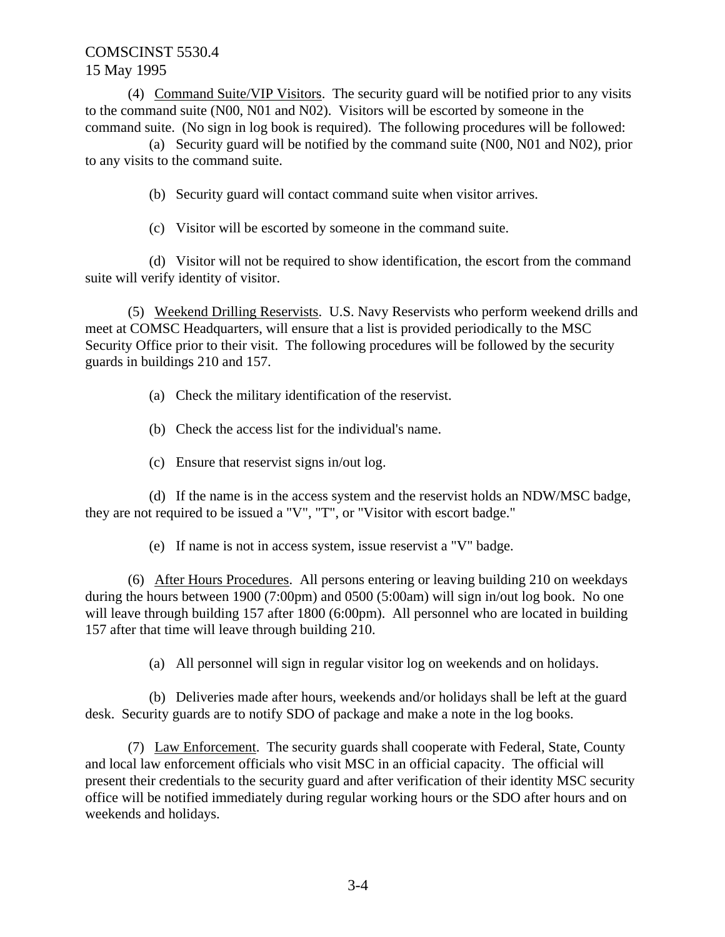(4) Command Suite/VIP Visitors. The security guard will be notified prior to any visits to the command suite (N00, N01 and N02). Visitors will be escorted by someone in the command suite. (No sign in log book is required). The following procedures will be followed:

(a) Security guard will be notified by the command suite (N00, N01 and N02), prior to any visits to the command suite.

(b) Security guard will contact command suite when visitor arrives.

(c) Visitor will be escorted by someone in the command suite.

(d) Visitor will not be required to show identification, the escort from the command suite will verify identity of visitor.

(5) Weekend Drilling Reservists. U.S. Navy Reservists who perform weekend drills and meet at COMSC Headquarters, will ensure that a list is provided periodically to the MSC Security Office prior to their visit. The following procedures will be followed by the security guards in buildings 210 and 157.

(a) Check the military identification of the reservist.

(b) Check the access list for the individual's name.

(c) Ensure that reservist signs in/out log.

(d) If the name is in the access system and the reservist holds an NDW/MSC badge, they are not required to be issued a "V", "T", or "Visitor with escort badge."

(e) If name is not in access system, issue reservist a "V" badge.

(6) After Hours Procedures. All persons entering or leaving building 210 on weekdays during the hours between 1900 (7:00pm) and 0500 (5:00am) will sign in/out log book. No one will leave through building 157 after 1800 (6:00pm). All personnel who are located in building 157 after that time will leave through building 210.

(a) All personnel will sign in regular visitor log on weekends and on holidays.

(b) Deliveries made after hours, weekends and/or holidays shall be left at the guard desk. Security guards are to notify SDO of package and make a note in the log books.

(7) Law Enforcement. The security guards shall cooperate with Federal, State, County and local law enforcement officials who visit MSC in an official capacity. The official will present their credentials to the security guard and after verification of their identity MSC security office will be notified immediately during regular working hours or the SDO after hours and on weekends and holidays.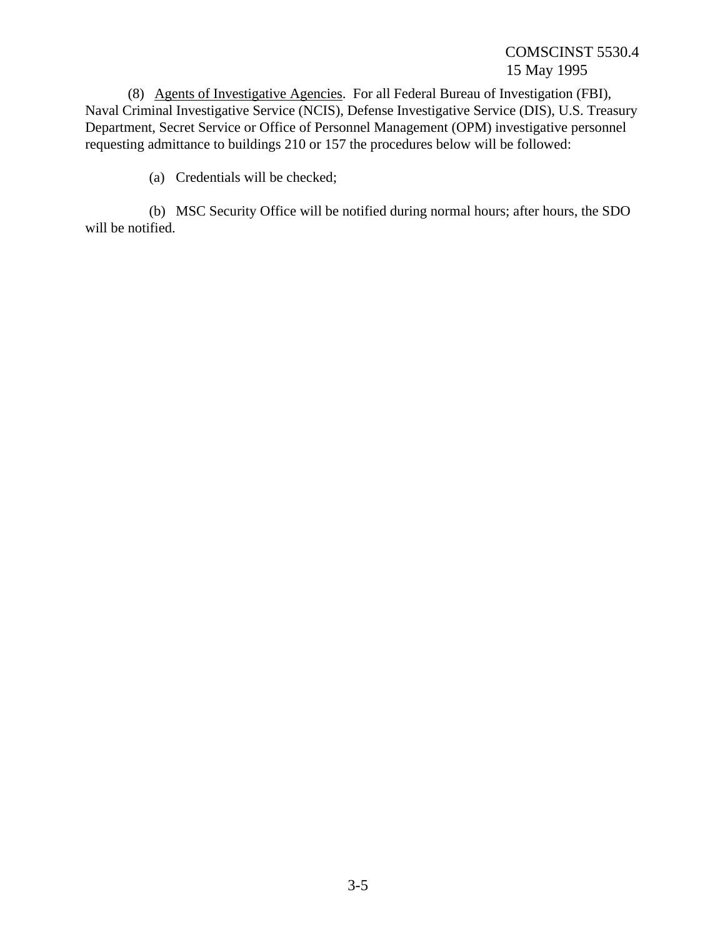(8) Agents of Investigative Agencies. For all Federal Bureau of Investigation (FBI), Naval Criminal Investigative Service (NCIS), Defense Investigative Service (DIS), U.S. Treasury Department, Secret Service or Office of Personnel Management (OPM) investigative personnel requesting admittance to buildings 210 or 157 the procedures below will be followed:

(a) Credentials will be checked;

(b) MSC Security Office will be notified during normal hours; after hours, the SDO will be notified.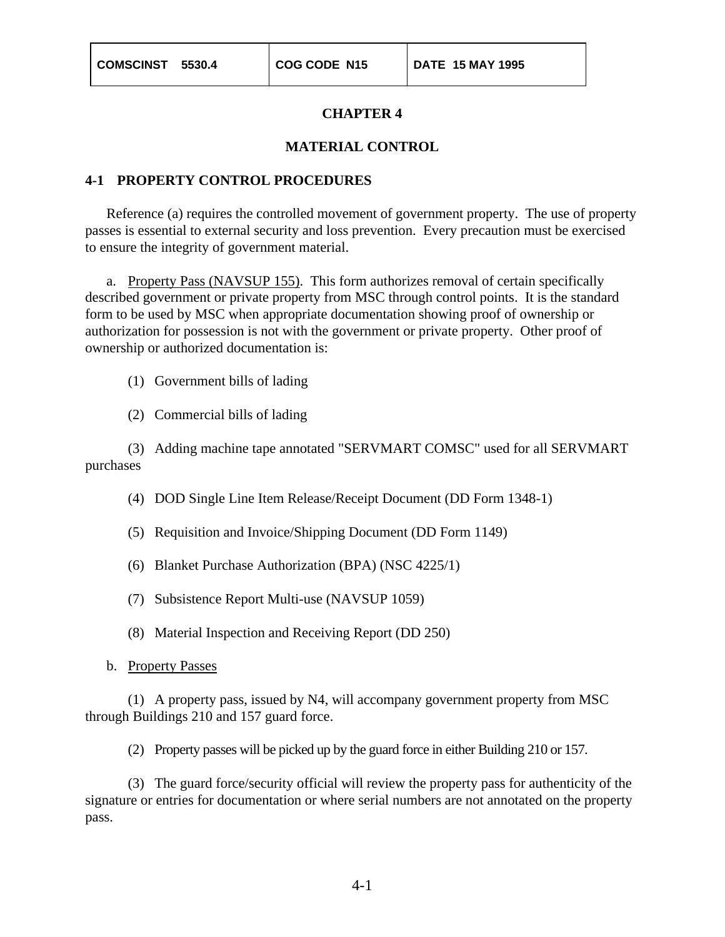#### **MATERIAL CONTROL**

#### **4-1 PROPERTY CONTROL PROCEDURES**

Reference (a) requires the controlled movement of government property. The use of property passes is essential to external security and loss prevention. Every precaution must be exercised to ensure the integrity of government material.

a. Property Pass (NAVSUP 155). This form authorizes removal of certain specifically described government or private property from MSC through control points. It is the standard form to be used by MSC when appropriate documentation showing proof of ownership or authorization for possession is not with the government or private property. Other proof of ownership or authorized documentation is:

(1) Government bills of lading

(2) Commercial bills of lading

(3) Adding machine tape annotated "SERVMART COMSC" used for all SERVMART purchases

- (4) DOD Single Line Item Release/Receipt Document (DD Form 1348-1)
- (5) Requisition and Invoice/Shipping Document (DD Form 1149)
- (6) Blanket Purchase Authorization (BPA) (NSC 4225/1)
- (7) Subsistence Report Multi-use (NAVSUP 1059)
- (8) Material Inspection and Receiving Report (DD 250)
- b. Property Passes

(1) A property pass, issued by N4, will accompany government property from MSC through Buildings 210 and 157 guard force.

(2) Property passes will be picked up by the guard force in either Building 210 or 157.

(3) The guard force/security official will review the property pass for authenticity of the signature or entries for documentation or where serial numbers are not annotated on the property pass.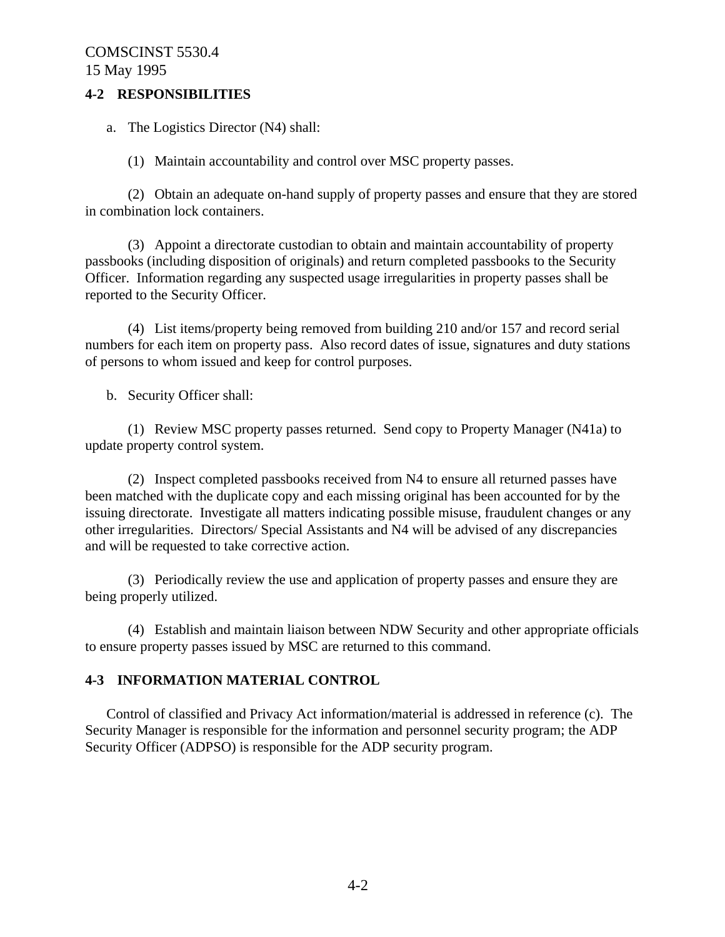### **4-2 RESPONSIBILITIES**

a. The Logistics Director (N4) shall:

(1) Maintain accountability and control over MSC property passes.

(2) Obtain an adequate on-hand supply of property passes and ensure that they are stored in combination lock containers.

(3) Appoint a directorate custodian to obtain and maintain accountability of property passbooks (including disposition of originals) and return completed passbooks to the Security Officer. Information regarding any suspected usage irregularities in property passes shall be reported to the Security Officer.

(4) List items/property being removed from building 210 and/or 157 and record serial numbers for each item on property pass. Also record dates of issue, signatures and duty stations of persons to whom issued and keep for control purposes.

b. Security Officer shall:

(1) Review MSC property passes returned. Send copy to Property Manager (N41a) to update property control system.

(2) Inspect completed passbooks received from N4 to ensure all returned passes have been matched with the duplicate copy and each missing original has been accounted for by the issuing directorate. Investigate all matters indicating possible misuse, fraudulent changes or any other irregularities. Directors/ Special Assistants and N4 will be advised of any discrepancies and will be requested to take corrective action.

(3) Periodically review the use and application of property passes and ensure they are being properly utilized.

(4) Establish and maintain liaison between NDW Security and other appropriate officials to ensure property passes issued by MSC are returned to this command.

## **4-3 INFORMATION MATERIAL CONTROL**

Control of classified and Privacy Act information/material is addressed in reference (c). The Security Manager is responsible for the information and personnel security program; the ADP Security Officer (ADPSO) is responsible for the ADP security program.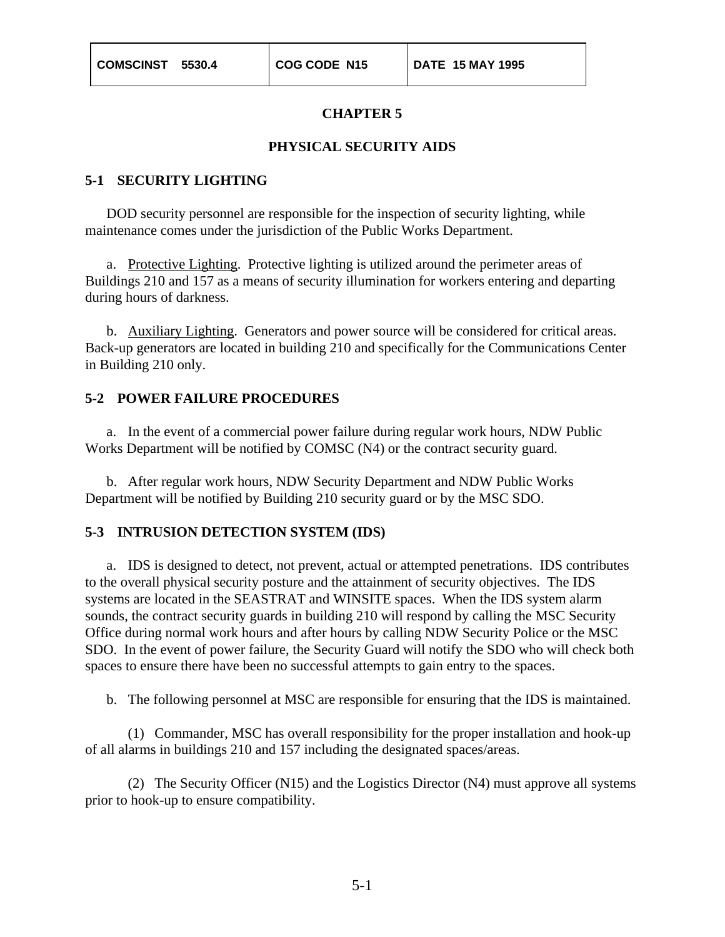### **PHYSICAL SECURITY AIDS**

#### **5-1 SECURITY LIGHTING**

DOD security personnel are responsible for the inspection of security lighting, while maintenance comes under the jurisdiction of the Public Works Department.

a. Protective Lighting. Protective lighting is utilized around the perimeter areas of Buildings 210 and 157 as a means of security illumination for workers entering and departing during hours of darkness.

b. Auxiliary Lighting. Generators and power source will be considered for critical areas. Back-up generators are located in building 210 and specifically for the Communications Center in Building 210 only.

### **5-2 POWER FAILURE PROCEDURES**

a. In the event of a commercial power failure during regular work hours, NDW Public Works Department will be notified by COMSC (N4) or the contract security guard.

b. After regular work hours, NDW Security Department and NDW Public Works Department will be notified by Building 210 security guard or by the MSC SDO.

#### **5-3 INTRUSION DETECTION SYSTEM (IDS)**

a. IDS is designed to detect, not prevent, actual or attempted penetrations. IDS contributes to the overall physical security posture and the attainment of security objectives. The IDS systems are located in the SEASTRAT and WINSITE spaces. When the IDS system alarm sounds, the contract security guards in building 210 will respond by calling the MSC Security Office during normal work hours and after hours by calling NDW Security Police or the MSC SDO. In the event of power failure, the Security Guard will notify the SDO who will check both spaces to ensure there have been no successful attempts to gain entry to the spaces.

b. The following personnel at MSC are responsible for ensuring that the IDS is maintained.

(1) Commander, MSC has overall responsibility for the proper installation and hook-up of all alarms in buildings 210 and 157 including the designated spaces/areas.

(2) The Security Officer (N15) and the Logistics Director (N4) must approve all systems prior to hook-up to ensure compatibility.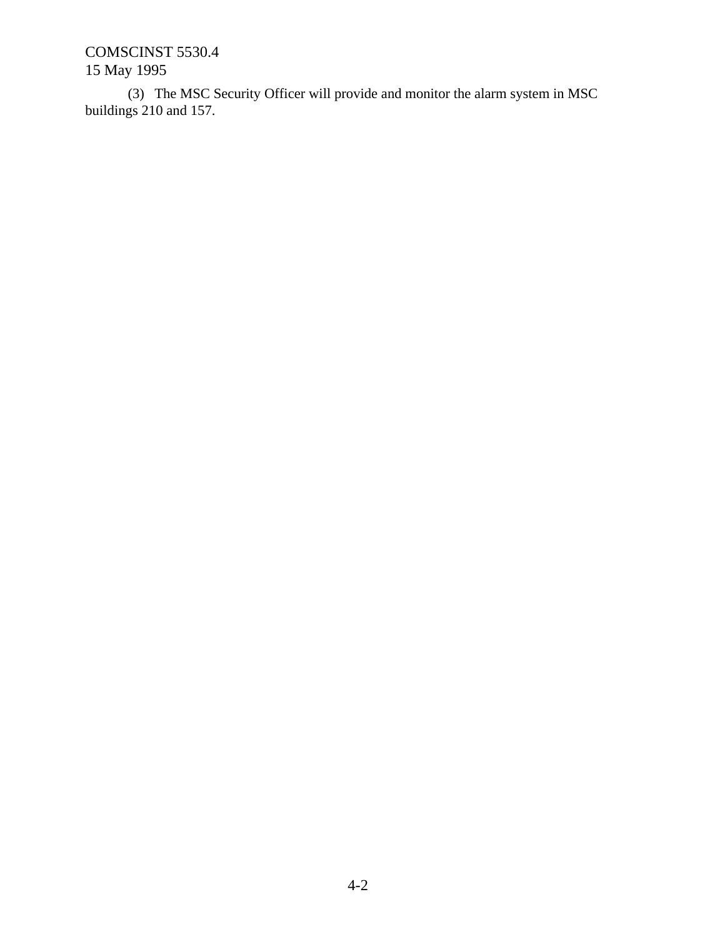(3) The MSC Security Officer will provide and monitor the alarm system in MSC buildings 210 and 157.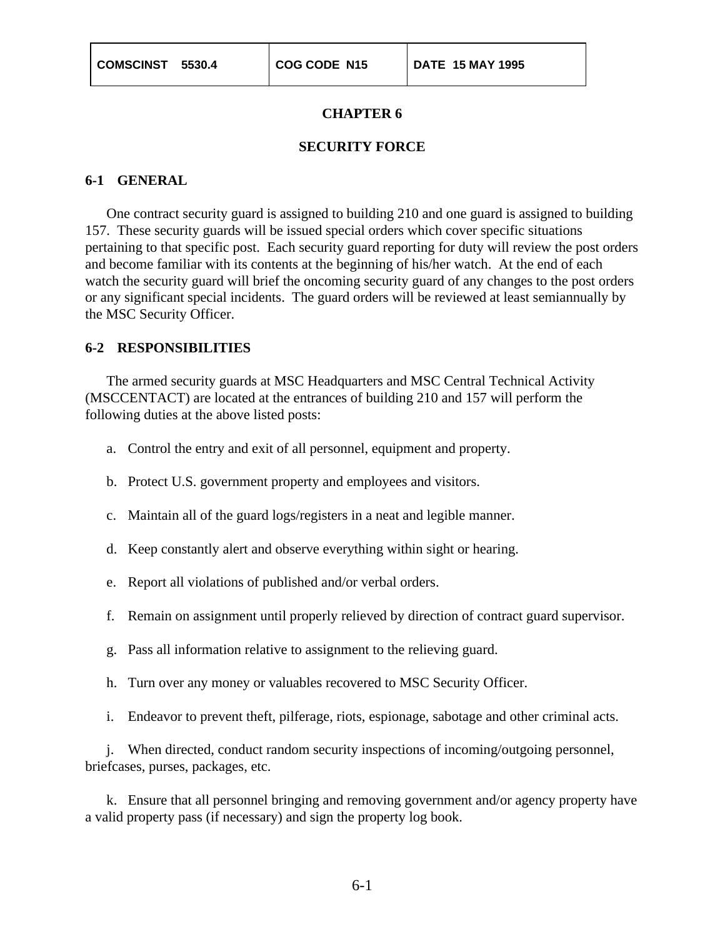#### **SECURITY FORCE**

#### **6-1 GENERAL**

One contract security guard is assigned to building 210 and one guard is assigned to building 157. These security guards will be issued special orders which cover specific situations pertaining to that specific post. Each security guard reporting for duty will review the post orders and become familiar with its contents at the beginning of his/her watch. At the end of each watch the security guard will brief the oncoming security guard of any changes to the post orders or any significant special incidents. The guard orders will be reviewed at least semiannually by the MSC Security Officer.

#### **6-2 RESPONSIBILITIES**

The armed security guards at MSC Headquarters and MSC Central Technical Activity (MSCCENTACT) are located at the entrances of building 210 and 157 will perform the following duties at the above listed posts:

- a. Control the entry and exit of all personnel, equipment and property.
- b. Protect U.S. government property and employees and visitors.
- c. Maintain all of the guard logs/registers in a neat and legible manner.
- d. Keep constantly alert and observe everything within sight or hearing.
- e. Report all violations of published and/or verbal orders.
- f. Remain on assignment until properly relieved by direction of contract guard supervisor.
- g. Pass all information relative to assignment to the relieving guard.
- h. Turn over any money or valuables recovered to MSC Security Officer.
- i. Endeavor to prevent theft, pilferage, riots, espionage, sabotage and other criminal acts.

j. When directed, conduct random security inspections of incoming/outgoing personnel, briefcases, purses, packages, etc.

k. Ensure that all personnel bringing and removing government and/or agency property have a valid property pass (if necessary) and sign the property log book.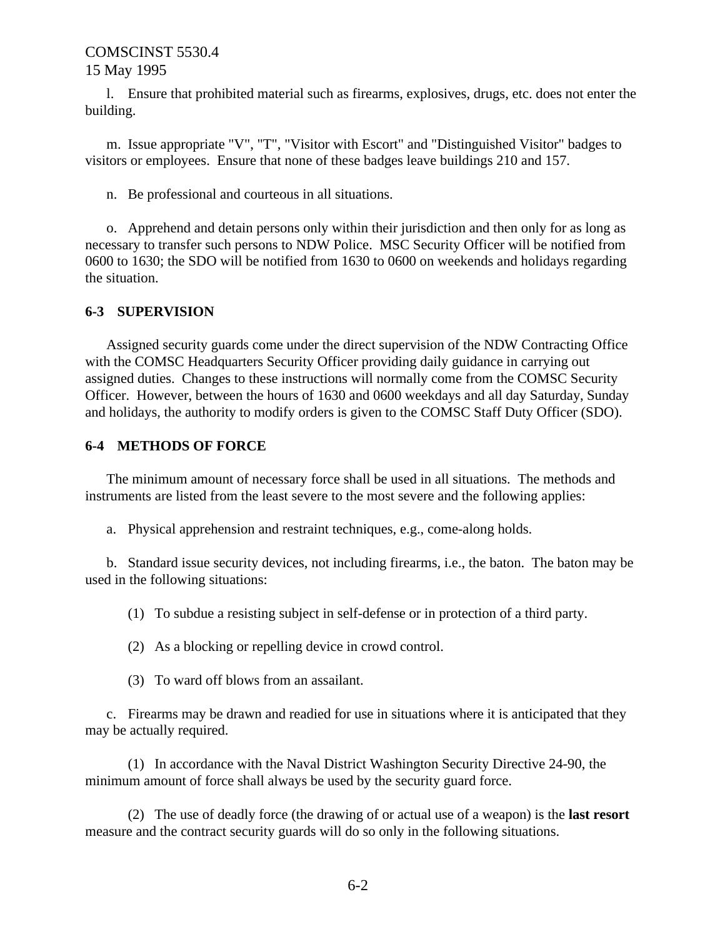l. Ensure that prohibited material such as firearms, explosives, drugs, etc. does not enter the building.

m. Issue appropriate "V", "T", "Visitor with Escort" and "Distinguished Visitor" badges to visitors or employees. Ensure that none of these badges leave buildings 210 and 157.

n. Be professional and courteous in all situations.

o. Apprehend and detain persons only within their jurisdiction and then only for as long as necessary to transfer such persons to NDW Police. MSC Security Officer will be notified from 0600 to 1630; the SDO will be notified from 1630 to 0600 on weekends and holidays regarding the situation.

### **6-3 SUPERVISION**

Assigned security guards come under the direct supervision of the NDW Contracting Office with the COMSC Headquarters Security Officer providing daily guidance in carrying out assigned duties. Changes to these instructions will normally come from the COMSC Security Officer. However, between the hours of 1630 and 0600 weekdays and all day Saturday, Sunday and holidays, the authority to modify orders is given to the COMSC Staff Duty Officer (SDO).

## **6-4 METHODS OF FORCE**

The minimum amount of necessary force shall be used in all situations. The methods and instruments are listed from the least severe to the most severe and the following applies:

a. Physical apprehension and restraint techniques, e.g., come-along holds.

b. Standard issue security devices, not including firearms, i.e., the baton. The baton may be used in the following situations:

(1) To subdue a resisting subject in self-defense or in protection of a third party.

(2) As a blocking or repelling device in crowd control.

(3) To ward off blows from an assailant.

c. Firearms may be drawn and readied for use in situations where it is anticipated that they may be actually required.

(1) In accordance with the Naval District Washington Security Directive 24-90, the minimum amount of force shall always be used by the security guard force.

(2) The use of deadly force (the drawing of or actual use of a weapon) is the **last resort** measure and the contract security guards will do so only in the following situations.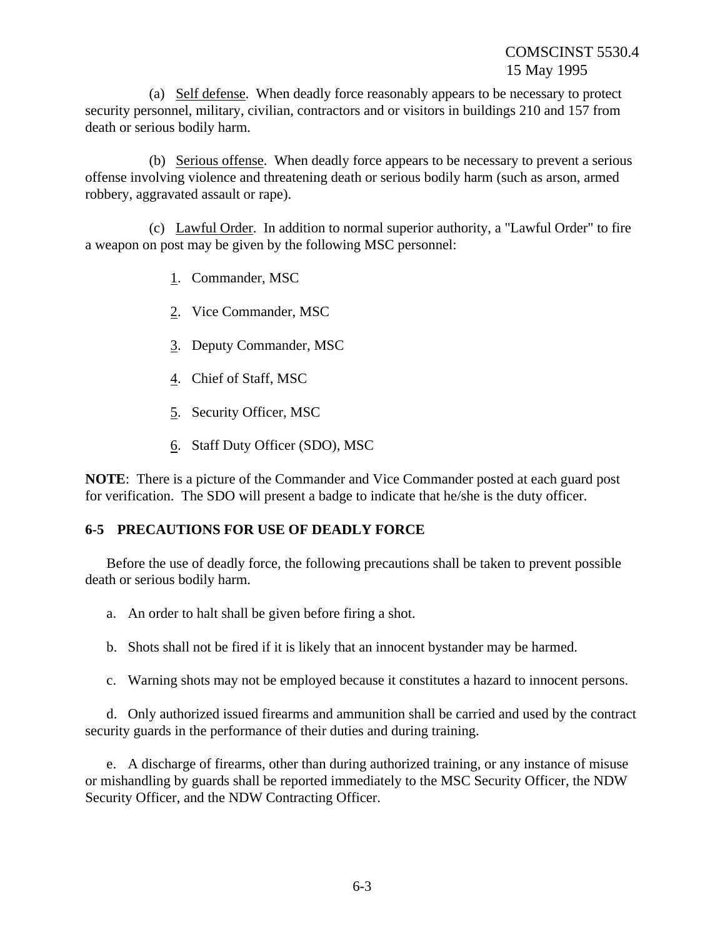(a) Self defense. When deadly force reasonably appears to be necessary to protect security personnel, military, civilian, contractors and or visitors in buildings 210 and 157 from death or serious bodily harm.

(b) Serious offense. When deadly force appears to be necessary to prevent a serious offense involving violence and threatening death or serious bodily harm (such as arson, armed robbery, aggravated assault or rape).

(c) Lawful Order. In addition to normal superior authority, a "Lawful Order" to fire a weapon on post may be given by the following MSC personnel:

- 1. Commander, MSC
- 2. Vice Commander, MSC
- 3. Deputy Commander, MSC
- 4. Chief of Staff, MSC
- 5. Security Officer, MSC
- 6. Staff Duty Officer (SDO), MSC

**NOTE**: There is a picture of the Commander and Vice Commander posted at each guard post for verification. The SDO will present a badge to indicate that he/she is the duty officer.

## **6-5 PRECAUTIONS FOR USE OF DEADLY FORCE**

Before the use of deadly force, the following precautions shall be taken to prevent possible death or serious bodily harm.

- a. An order to halt shall be given before firing a shot.
- b. Shots shall not be fired if it is likely that an innocent bystander may be harmed.
- c. Warning shots may not be employed because it constitutes a hazard to innocent persons.

d. Only authorized issued firearms and ammunition shall be carried and used by the contract security guards in the performance of their duties and during training.

e. A discharge of firearms, other than during authorized training, or any instance of misuse or mishandling by guards shall be reported immediately to the MSC Security Officer, the NDW Security Officer, and the NDW Contracting Officer.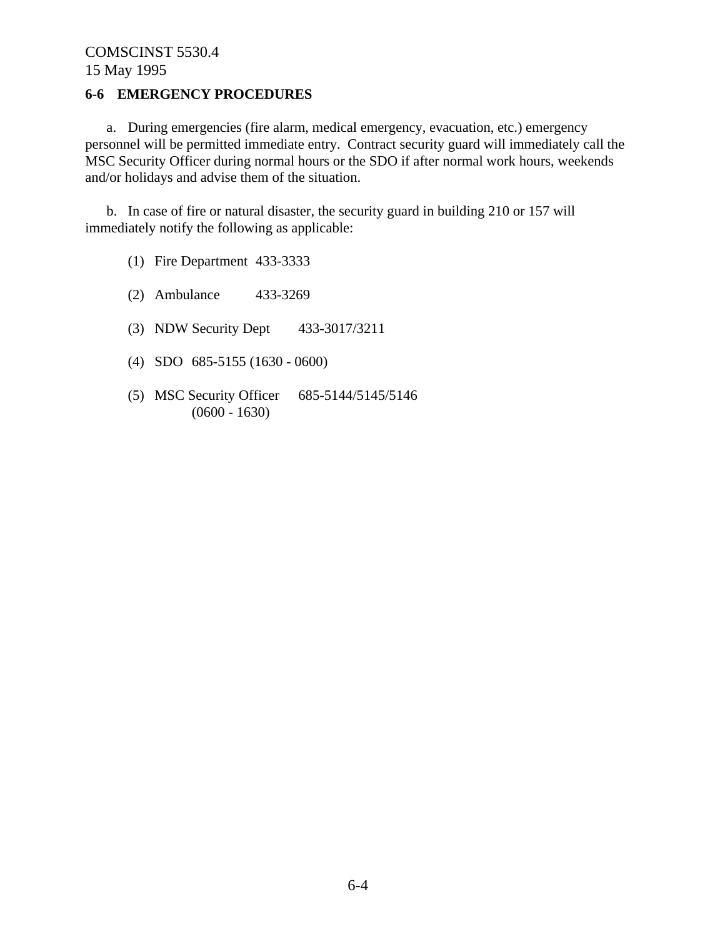## **6-6 EMERGENCY PROCEDURES**

a. During emergencies (fire alarm, medical emergency, evacuation, etc.) emergency personnel will be permitted immediate entry. Contract security guard will immediately call the MSC Security Officer during normal hours or the SDO if after normal work hours, weekends and/or holidays and advise them of the situation.

b. In case of fire or natural disaster, the security guard in building 210 or 157 will immediately notify the following as applicable:

- (1) Fire Department 433-3333
- (2) Ambulance 433-3269
- (3) NDW Security Dept 433-3017/3211
- (4) SDO 685-5155 (1630 0600)
- (5) MSC Security Officer 685-5144/5145/5146  $(0600 - 1630)$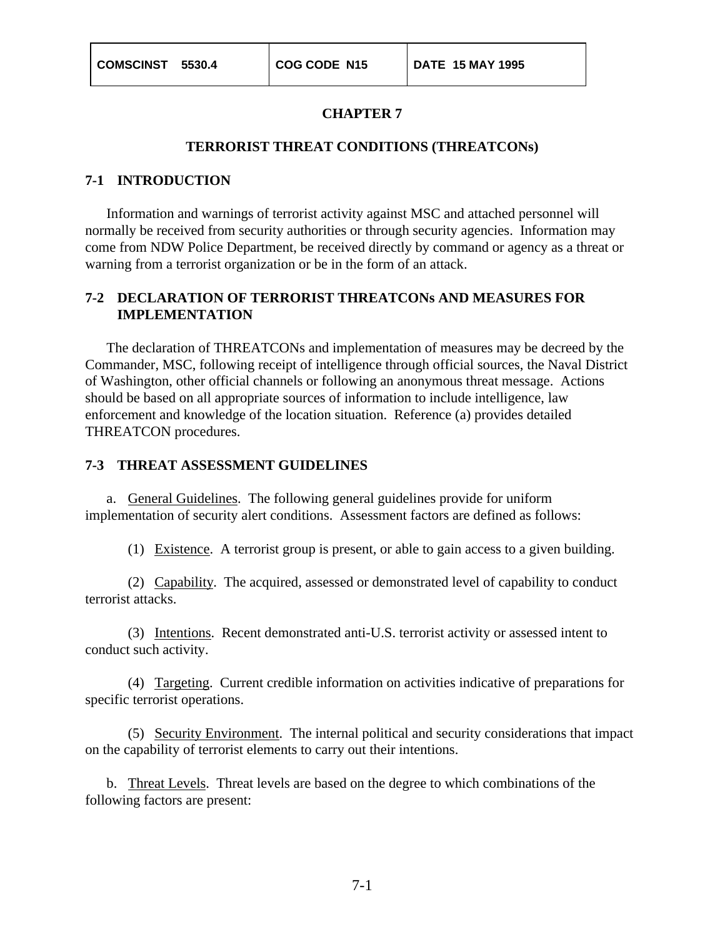#### **TERRORIST THREAT CONDITIONS (THREATCONs)**

#### **7-1 INTRODUCTION**

Information and warnings of terrorist activity against MSC and attached personnel will normally be received from security authorities or through security agencies. Information may come from NDW Police Department, be received directly by command or agency as a threat or warning from a terrorist organization or be in the form of an attack.

### **7-2 DECLARATION OF TERRORIST THREATCONs AND MEASURES FOR IMPLEMENTATION**

The declaration of THREATCONs and implementation of measures may be decreed by the Commander, MSC, following receipt of intelligence through official sources, the Naval District of Washington, other official channels or following an anonymous threat message. Actions should be based on all appropriate sources of information to include intelligence, law enforcement and knowledge of the location situation. Reference (a) provides detailed THREATCON procedures.

#### **7-3 THREAT ASSESSMENT GUIDELINES**

a. General Guidelines. The following general guidelines provide for uniform implementation of security alert conditions. Assessment factors are defined as follows:

(1) Existence. A terrorist group is present, or able to gain access to a given building.

(2) Capability. The acquired, assessed or demonstrated level of capability to conduct terrorist attacks.

(3) Intentions. Recent demonstrated anti-U.S. terrorist activity or assessed intent to conduct such activity.

(4) Targeting. Current credible information on activities indicative of preparations for specific terrorist operations.

(5) Security Environment. The internal political and security considerations that impact on the capability of terrorist elements to carry out their intentions.

b. Threat Levels. Threat levels are based on the degree to which combinations of the following factors are present: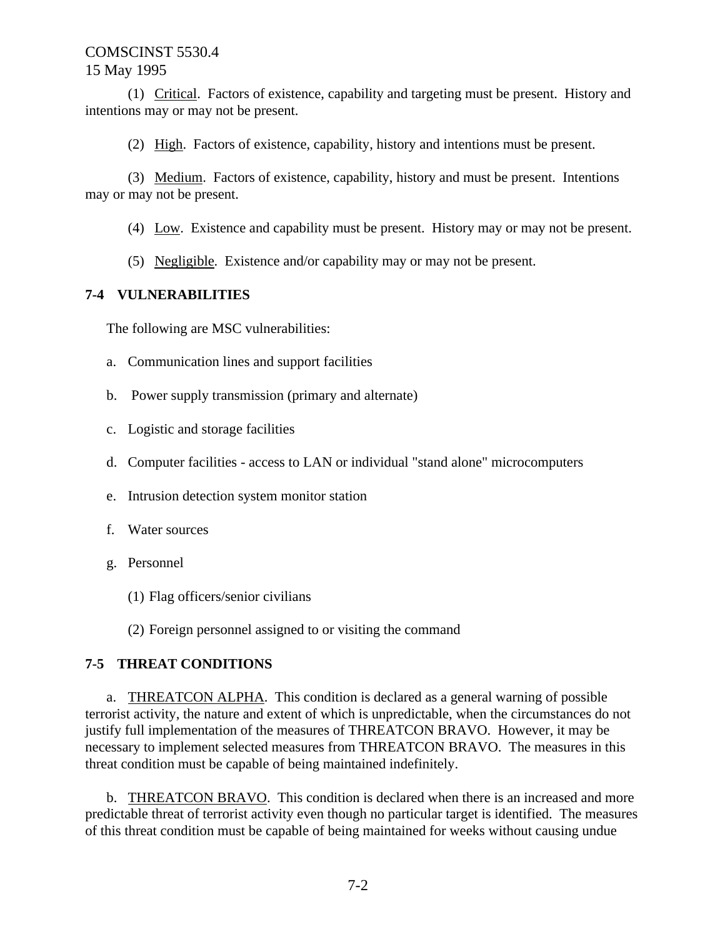(1) Critical. Factors of existence, capability and targeting must be present. History and intentions may or may not be present.

(2) High. Factors of existence, capability, history and intentions must be present.

(3) Medium. Factors of existence, capability, history and must be present. Intentions may or may not be present.

(4) Low. Existence and capability must be present. History may or may not be present.

(5) Negligible. Existence and/or capability may or may not be present.

## **7-4 VULNERABILITIES**

The following are MSC vulnerabilities:

- a. Communication lines and support facilities
- b. Power supply transmission (primary and alternate)
- c. Logistic and storage facilities
- d. Computer facilities access to LAN or individual "stand alone" microcomputers
- e. Intrusion detection system monitor station
- f. Water sources
- g. Personnel
	- (1) Flag officers/senior civilians

(2) Foreign personnel assigned to or visiting the command

## **7-5 THREAT CONDITIONS**

a. THREATCON ALPHA. This condition is declared as a general warning of possible terrorist activity, the nature and extent of which is unpredictable, when the circumstances do not justify full implementation of the measures of THREATCON BRAVO. However, it may be necessary to implement selected measures from THREATCON BRAVO. The measures in this threat condition must be capable of being maintained indefinitely.

b. THREATCON BRAVO. This condition is declared when there is an increased and more predictable threat of terrorist activity even though no particular target is identified. The measures of this threat condition must be capable of being maintained for weeks without causing undue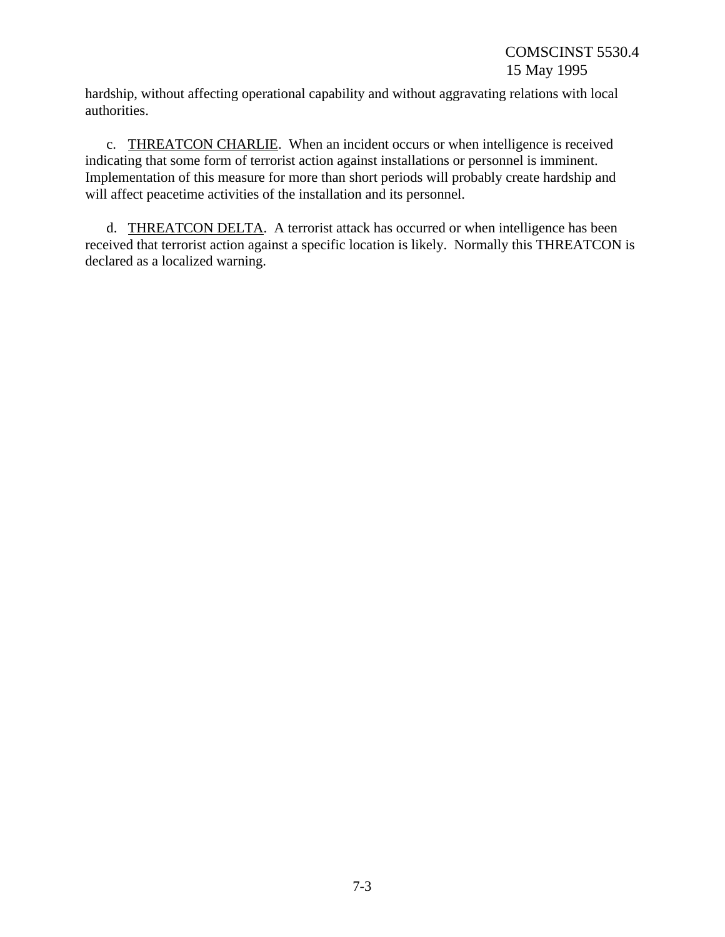hardship, without affecting operational capability and without aggravating relations with local authorities.

c. THREATCON CHARLIE. When an incident occurs or when intelligence is received indicating that some form of terrorist action against installations or personnel is imminent. Implementation of this measure for more than short periods will probably create hardship and will affect peacetime activities of the installation and its personnel.

d. THREATCON DELTA. A terrorist attack has occurred or when intelligence has been received that terrorist action against a specific location is likely. Normally this THREATCON is declared as a localized warning.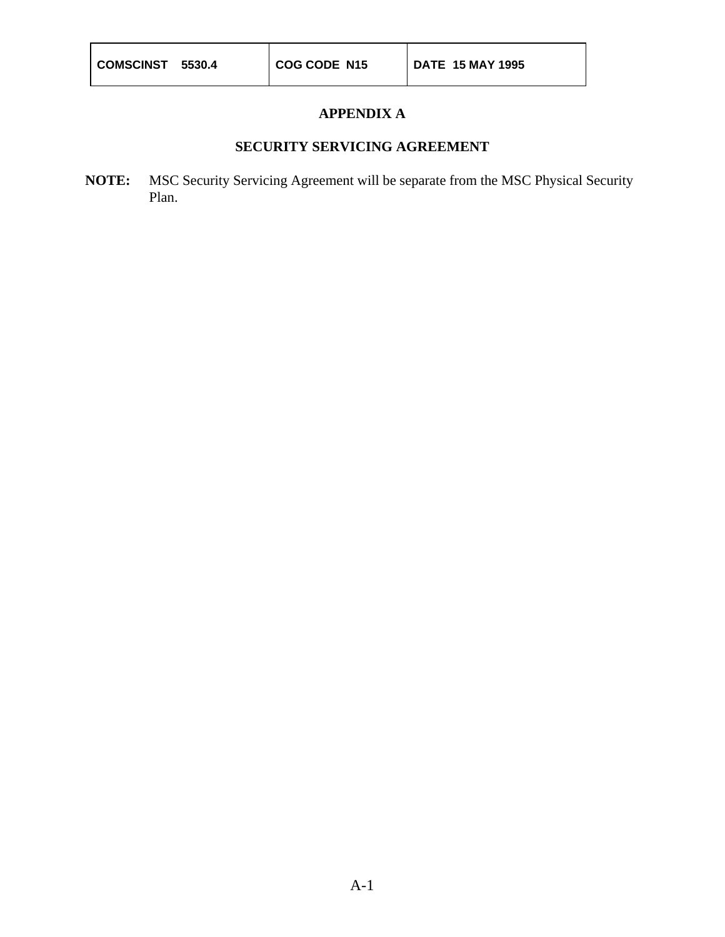## **APPENDIX A**

## **SECURITY SERVICING AGREEMENT**

**NOTE:** MSC Security Servicing Agreement will be separate from the MSC Physical Security Plan.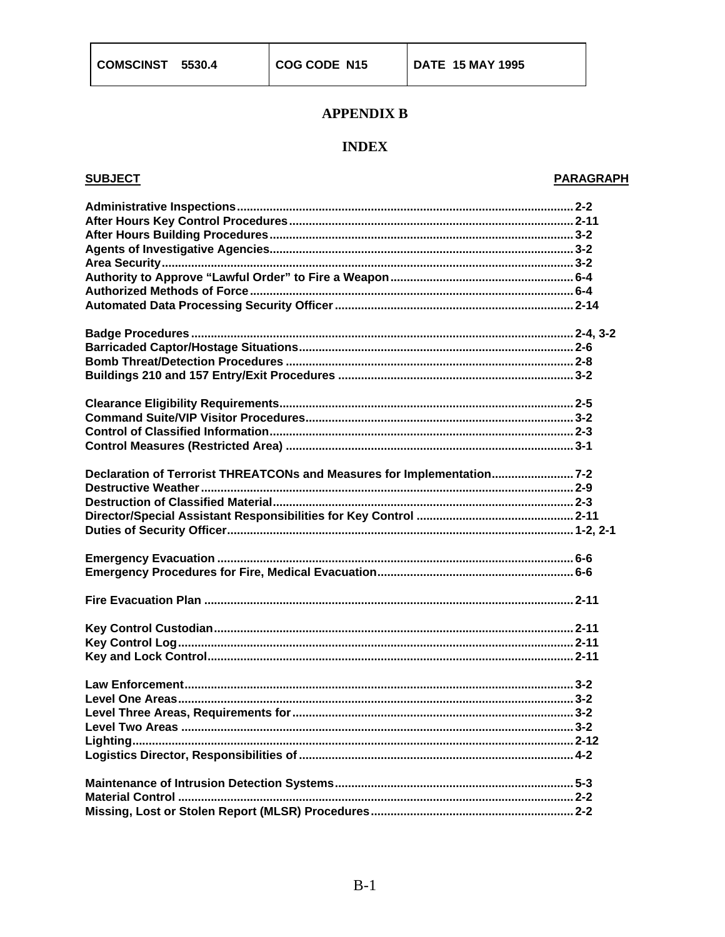## **APPENDIX B**

## **INDEX**

### **SUBJECT**

#### **PARAGRAPH**

| Declaration of Terrorist THREATCONs and Measures for Implementation7-2 |  |
|------------------------------------------------------------------------|--|
|                                                                        |  |
|                                                                        |  |
|                                                                        |  |
|                                                                        |  |
|                                                                        |  |
|                                                                        |  |
|                                                                        |  |
|                                                                        |  |
|                                                                        |  |
|                                                                        |  |
|                                                                        |  |
|                                                                        |  |
|                                                                        |  |
|                                                                        |  |
|                                                                        |  |
|                                                                        |  |
|                                                                        |  |
|                                                                        |  |
|                                                                        |  |